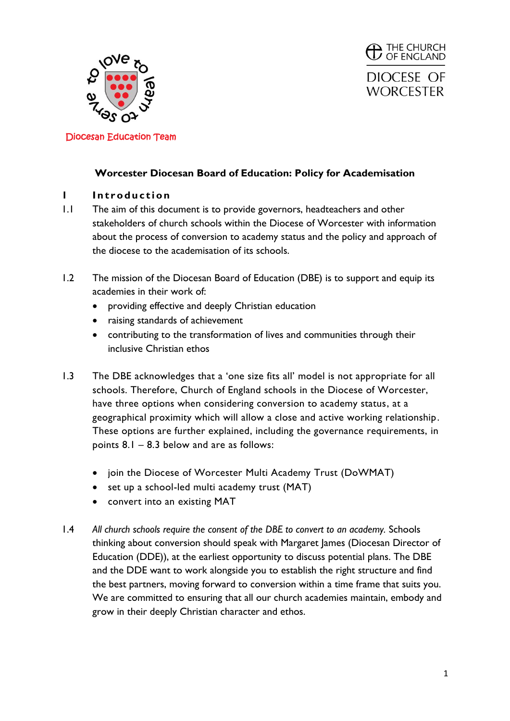



## **Worcester Diocesan Board of Education: Policy for Academisation**

## **1 Introduction**

- 1.1 The aim of this document is to provide governors, headteachers and other stakeholders of church schools within the Diocese of Worcester with information about the process of conversion to academy status and the policy and approach of the diocese to the academisation of its schools.
- 1.2 The mission of the Diocesan Board of Education (DBE) is to support and equip its academies in their work of:
	- providing effective and deeply Christian education
	- raising standards of achievement
	- contributing to the transformation of lives and communities through their inclusive Christian ethos
- 1.3 The DBE acknowledges that a 'one size fits all' model is not appropriate for all schools. Therefore, Church of England schools in the Diocese of Worcester, have three options when considering conversion to academy status, at a geographical proximity which will allow a close and active working relationship. These options are further explained, including the governance requirements, in points 8.1 – 8.3 below and are as follows:
	- join the Diocese of Worcester Multi Academy Trust (DoWMAT)
	- set up a school-led multi academy trust (MAT)
	- convert into an existing MAT
- 1.4 *All church schools require the consent of the DBE to convert to an academy.* Schools thinking about conversion should speak with Margaret James (Diocesan Director of Education (DDE)), at the earliest opportunity to discuss potential plans. The DBE and the DDE want to work alongside you to establish the right structure and find the best partners, moving forward to conversion within a time frame that suits you. We are committed to ensuring that all our church academies maintain, embody and grow in their deeply Christian character and ethos.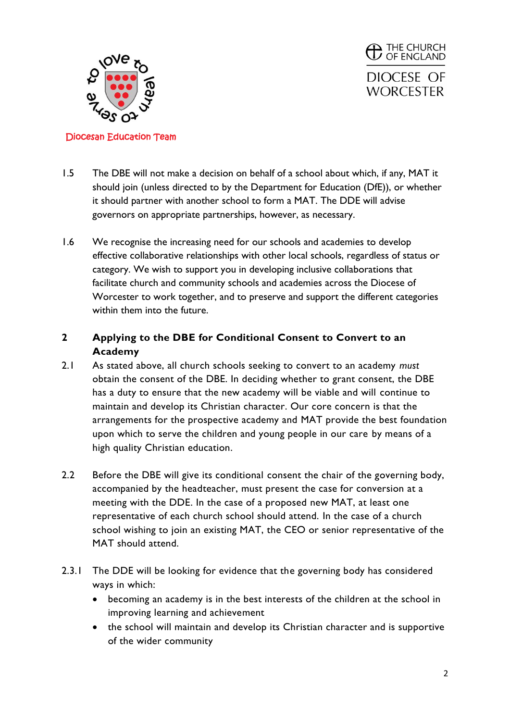

<sup>THE CHURCH</sup><br>
OF ENGLAND DIOCESE OF **WORCESTER** 

### Diocesan Education Team

- 1.5 The DBE will not make a decision on behalf of a school about which, if any, MAT it should join (unless directed to by the Department for Education (DfE)), or whether it should partner with another school to form a MAT. The DDE will advise governors on appropriate partnerships, however, as necessary.
- 1.6 We recognise the increasing need for our schools and academies to develop effective collaborative relationships with other local schools, regardless of status or category. We wish to support you in developing inclusive collaborations that facilitate church and community schools and academies across the Diocese of Worcester to work together, and to preserve and support the different categories within them into the future.

# **2 Applying to the DBE for Conditional Consent to Convert to an Academy**

- 2.1 As stated above, all church schools seeking to convert to an academy *must* obtain the consent of the DBE. In deciding whether to grant consent, the DBE has a duty to ensure that the new academy will be viable and will continue to maintain and develop its Christian character. Our core concern is that the arrangements for the prospective academy and MAT provide the best foundation upon which to serve the children and young people in our care by means of a high quality Christian education.
- 2.2 Before the DBE will give its conditional consent the chair of the governing body, accompanied by the headteacher, must present the case for conversion at a meeting with the DDE. In the case of a proposed new MAT, at least one representative of each church school should attend. In the case of a church school wishing to join an existing MAT, the CEO or senior representative of the MAT should attend.
- 2.3.1 The DDE will be looking for evidence that the governing body has considered ways in which:
	- becoming an academy is in the best interests of the children at the school in improving learning and achievement
	- the school will maintain and develop its Christian character and is supportive of the wider community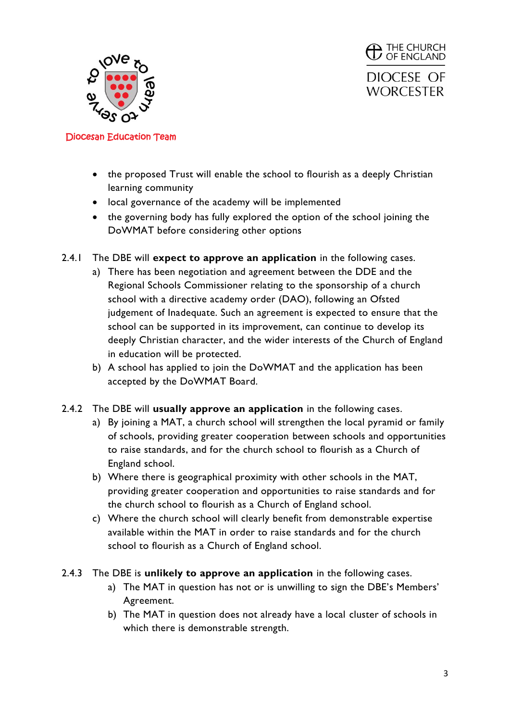

 $\bigoplus$  THE CHURCH OF ENGLAND DIOCESE OF **WORCESTER** 

- the proposed Trust will enable the school to flourish as a deeply Christian learning community
- local governance of the academy will be implemented
- the governing body has fully explored the option of the school joining the DoWMAT before considering other options
- 2.4.1 The DBE will **expect to approve an application** in the following cases.
	- a) There has been negotiation and agreement between the DDE and the Regional Schools Commissioner relating to the sponsorship of a church school with a directive academy order (DAO), following an Ofsted judgement of Inadequate. Such an agreement is expected to ensure that the school can be supported in its improvement, can continue to develop its deeply Christian character, and the wider interests of the Church of England in education will be protected.
	- b) A school has applied to join the DoWMAT and the application has been accepted by the DoWMAT Board.
- 2.4.2 The DBE will **usually approve an application** in the following cases.
	- a) By joining a MAT, a church school will strengthen the local pyramid or family of schools, providing greater cooperation between schools and opportunities to raise standards, and for the church school to flourish as a Church of England school.
	- b) Where there is geographical proximity with other schools in the MAT, providing greater cooperation and opportunities to raise standards and for the church school to flourish as a Church of England school.
	- c) Where the church school will clearly benefit from demonstrable expertise available within the MAT in order to raise standards and for the church school to flourish as a Church of England school.
- 2.4.3 The DBE is **unlikely to approve an application** in the following cases.
	- a) The MAT in question has not or is unwilling to sign the DBE's Members' Agreement.
	- b) The MAT in question does not already have a local cluster of schools in which there is demonstrable strength.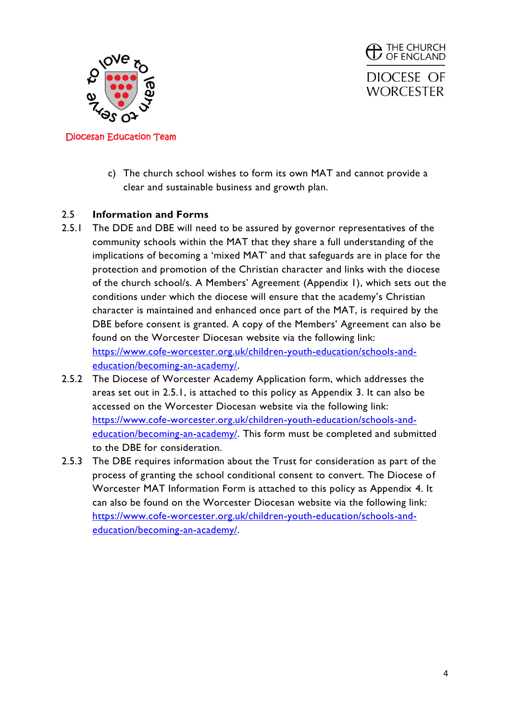

**THE CHURCH**<br>**D** OF ENGLAND DIOCESE OF **WORCESTER** 

- Diocesan Education Team
	- c) The church school wishes to form its own MAT and cannot provide a clear and sustainable business and growth plan.

# 2.5 **Information and Forms**

- 2.5.1 The DDE and DBE will need to be assured by governor representatives of the community schools within the MAT that they share a full understanding of the implications of becoming a 'mixed MAT' and that safeguards are in place for the protection and promotion of the Christian character and links with the diocese of the church school/s. A Members' Agreement (Appendix 1), which sets out the conditions under which the diocese will ensure that the academy's Christian character is maintained and enhanced once part of the MAT, is required by the DBE before consent is granted. A copy of the Members' Agreement can also be found on the Worcester Diocesan website via the following link: [https://www.cofe-worcester.org.uk/children-youth-education/schools-and](https://www.cofe-worcester.org.uk/children-youth-education/schools-and-education/becoming-an-academy/)[education/becoming-an-academy/.](https://www.cofe-worcester.org.uk/children-youth-education/schools-and-education/becoming-an-academy/)
- 2.5.2 The Diocese of Worcester Academy Application form, which addresses the areas set out in 2.5.1, is attached to this policy as Appendix 3. It can also be accessed on the Worcester Diocesan website via the following link: [https://www.cofe-worcester.org.uk/children-youth-education/schools-and](https://www.cofe-worcester.org.uk/children-youth-education/schools-and-education/becoming-an-academy/)[education/becoming-an-academy/.](https://www.cofe-worcester.org.uk/children-youth-education/schools-and-education/becoming-an-academy/) This form must be completed and submitted to the DBE for consideration.
- 2.5.3 The DBE requires information about the Trust for consideration as part of the process of granting the school conditional consent to convert. The Diocese of Worcester MAT Information Form is attached to this policy as Appendix 4. It can also be found on the Worcester Diocesan website via the following link: [https://www.cofe-worcester.org.uk/children-youth-education/schools-and](https://www.cofe-worcester.org.uk/children-youth-education/schools-and-education/becoming-an-academy/)[education/becoming-an-academy/.](https://www.cofe-worcester.org.uk/children-youth-education/schools-and-education/becoming-an-academy/)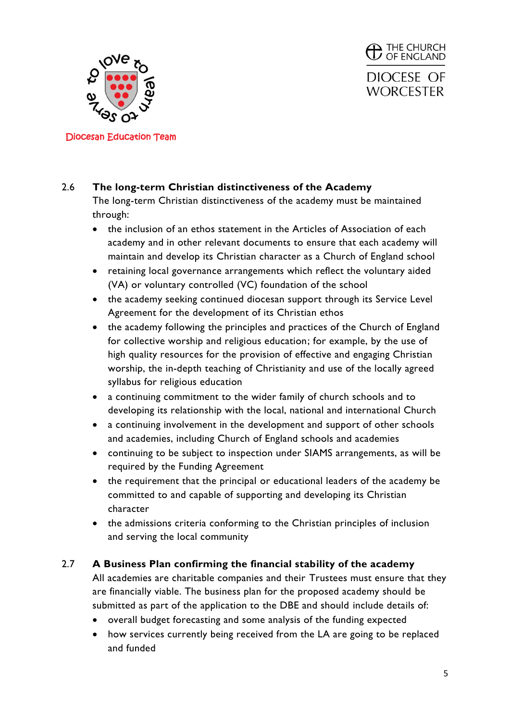

**THE CHURCH**<br>**D** OF ENGLAND DIOCESE OF **WORCESTER** 

Diocesan Education Team

# 2.6 **The long-term Christian distinctiveness of the Academy**

The long-term Christian distinctiveness of the academy must be maintained through:

- the inclusion of an ethos statement in the Articles of Association of each academy and in other relevant documents to ensure that each academy will maintain and develop its Christian character as a Church of England school
- retaining local governance arrangements which reflect the voluntary aided (VA) or voluntary controlled (VC) foundation of the school
- the academy seeking continued diocesan support through its Service Level Agreement for the development of its Christian ethos
- the academy following the principles and practices of the Church of England for collective worship and religious education; for example, by the use of high quality resources for the provision of effective and engaging Christian worship, the in-depth teaching of Christianity and use of the locally agreed syllabus for religious education
- a continuing commitment to the wider family of church schools and to developing its relationship with the local, national and international Church
- a continuing involvement in the development and support of other schools and academies, including Church of England schools and academies
- continuing to be subject to inspection under SIAMS arrangements, as will be required by the Funding Agreement
- the requirement that the principal or educational leaders of the academy be committed to and capable of supporting and developing its Christian character
- the admissions criteria conforming to the Christian principles of inclusion and serving the local community

# 2.7 **A Business Plan confirming the financial stability of the academy**

All academies are charitable companies and their Trustees must ensure that they are financially viable. The business plan for the proposed academy should be submitted as part of the application to the DBE and should include details of:

- overall budget forecasting and some analysis of the funding expected
- how services currently being received from the LA are going to be replaced and funded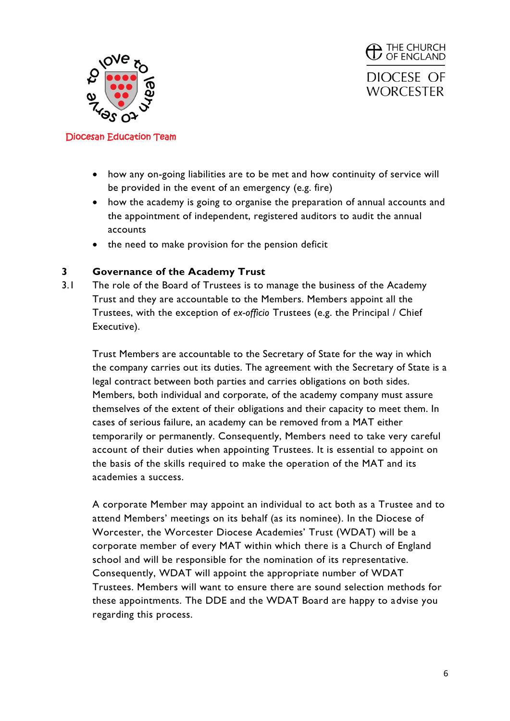



- how any on-going liabilities are to be met and how continuity of service will be provided in the event of an emergency (e.g. fire)
- how the academy is going to organise the preparation of annual accounts and the appointment of independent, registered auditors to audit the annual accounts
- the need to make provision for the pension deficit

### **3 Governance of the Academy Trust**

3.1 The role of the Board of Trustees is to manage the business of the Academy Trust and they are accountable to the Members. Members appoint all the Trustees, with the exception of *ex-officio* Trustees (e.g. the Principal / Chief Executive).

Trust Members are accountable to the Secretary of State for the way in which the company carries out its duties. The agreement with the Secretary of State is a legal contract between both parties and carries obligations on both sides. Members, both individual and corporate, of the academy company must assure themselves of the extent of their obligations and their capacity to meet them. In cases of serious failure, an academy can be removed from a MAT either temporarily or permanently. Consequently, Members need to take very careful account of their duties when appointing Trustees. It is essential to appoint on the basis of the skills required to make the operation of the MAT and its academies a success.

A corporate Member may appoint an individual to act both as a Trustee and to attend Members' meetings on its behalf (as its nominee). In the Diocese of Worcester, the Worcester Diocese Academies' Trust (WDAT) will be a corporate member of every MAT within which there is a Church of England school and will be responsible for the nomination of its representative. Consequently, WDAT will appoint the appropriate number of WDAT Trustees. Members will want to ensure there are sound selection methods for these appointments. The DDE and the WDAT Board are happy to advise you regarding this process.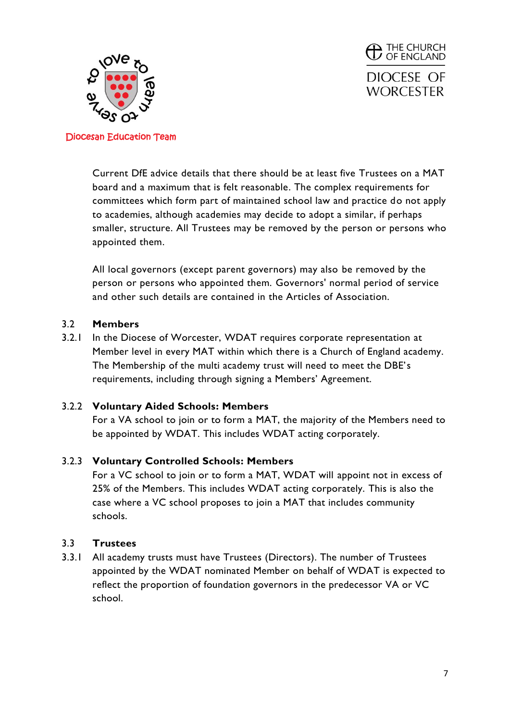

**THE CHURCH**<br>**D** OF ENGLAND DIOCESE OF **WORCESTER** 

Diocesan Education Team

Current DfE advice details that there should be at least five Trustees on a MAT board and a maximum that is felt reasonable. The complex requirements for committees which form part of maintained school law and practice do not apply to academies, although academies may decide to adopt a similar, if perhaps smaller, structure. All Trustees may be removed by the person or persons who appointed them.

All local governors (except parent governors) may also be removed by the person or persons who appointed them. Governors' normal period of service and other such details are contained in the Articles of Association.

## 3.2 **Members**

3.2.1 In the Diocese of Worcester, WDAT requires corporate representation at Member level in every MAT within which there is a Church of England academy. The Membership of the multi academy trust will need to meet the DBE's requirements, including through signing a Members' Agreement.

## 3.2.2 **Voluntary Aided Schools: Members**

For a VA school to join or to form a MAT, the majority of the Members need to be appointed by WDAT. This includes WDAT acting corporately.

# 3.2.3 **Voluntary Controlled Schools: Members**

For a VC school to join or to form a MAT, WDAT will appoint not in excess of 25% of the Members. This includes WDAT acting corporately. This is also the case where a VC school proposes to join a MAT that includes community schools.

## 3.3 **Trustees**

3.3.1 All academy trusts must have Trustees (Directors). The number of Trustees appointed by the WDAT nominated Member on behalf of WDAT is expected to reflect the proportion of foundation governors in the predecessor VA or VC school.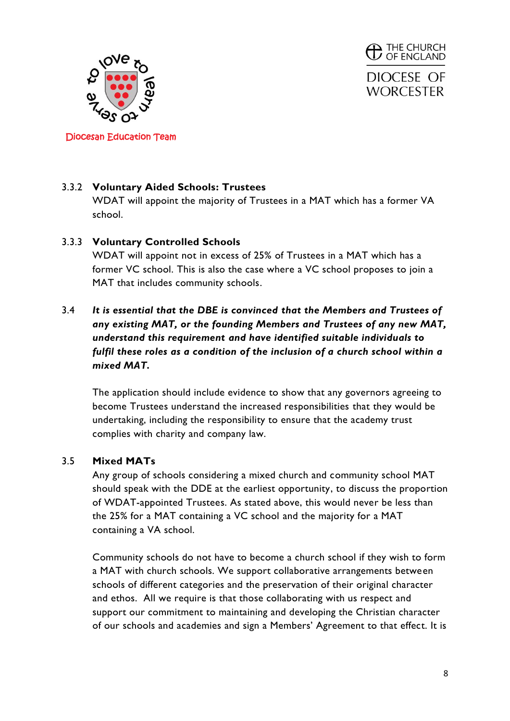

 $\mathcal{D}$  The Church of England DIOCESE OF **WORCESTER** 

Diocesan Education Team

# 3.3.2 **Voluntary Aided Schools: Trustees**

WDAT will appoint the majority of Trustees in a MAT which has a former VA school.

## 3.3.3 **Voluntary Controlled Schools**

WDAT will appoint not in excess of 25% of Trustees in a MAT which has a former VC school. This is also the case where a VC school proposes to join a MAT that includes community schools.

# 3.4 *It is essential that the DBE is convinced that the Members and Trustees of any existing MAT, or the founding Members and Trustees of any new MAT, understand this requirement and have identified suitable individuals to fulfil these roles as a condition of the inclusion of a church school within a mixed MAT.*

The application should include evidence to show that any governors agreeing to become Trustees understand the increased responsibilities that they would be undertaking, including the responsibility to ensure that the academy trust complies with charity and company law.

## 3.5 **Mixed MATs**

Any group of schools considering a mixed church and community school MAT should speak with the DDE at the earliest opportunity, to discuss the proportion of WDAT-appointed Trustees. As stated above, this would never be less than the 25% for a MAT containing a VC school and the majority for a MAT containing a VA school.

Community schools do not have to become a church school if they wish to form a MAT with church schools. We support collaborative arrangements between schools of different categories and the preservation of their original character and ethos. All we require is that those collaborating with us respect and support our commitment to maintaining and developing the Christian character of our schools and academies and sign a Members' Agreement to that effect. It is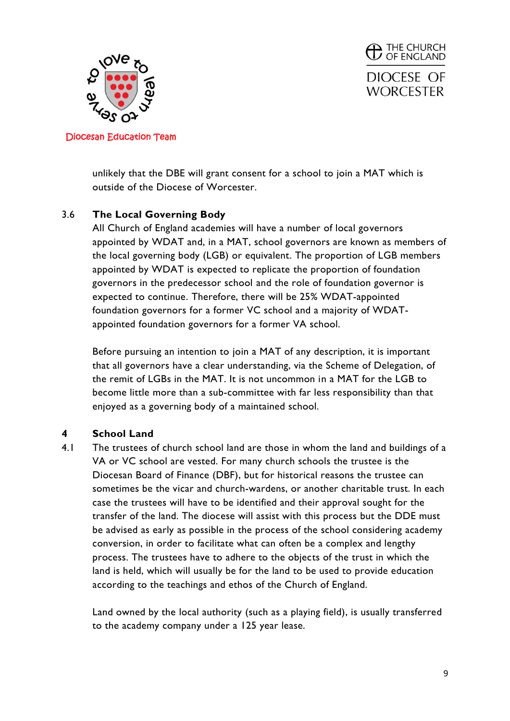

**THE CHURCH**<br>**D** OF ENGLAND DIOCESE OF **WORCESTER** 

Diocesan Education Team

unlikely that the DBE will grant consent for a school to join a MAT which is outside of the Diocese of Worcester.

# 3.6 **The Local Governing Body**

All Church of England academies will have a number of local governors appointed by WDAT and, in a MAT, school governors are known as members of the local governing body (LGB) or equivalent. The proportion of LGB members appointed by WDAT is expected to replicate the proportion of foundation governors in the predecessor school and the role of foundation governor is expected to continue. Therefore, there will be 25% WDAT-appointed foundation governors for a former VC school and a majority of WDATappointed foundation governors for a former VA school.

Before pursuing an intention to join a MAT of any description, it is important that all governors have a clear understanding, via the Scheme of Delegation, of the remit of LGBs in the MAT. It is not uncommon in a MAT for the LGB to become little more than a sub-committee with far less responsibility than that enjoyed as a governing body of a maintained school.

## **4 School Land**

4.1 The trustees of church school land are those in whom the land and buildings of a VA or VC school are vested. For many church schools the trustee is the Diocesan Board of Finance (DBF), but for historical reasons the trustee can sometimes be the vicar and church-wardens, or another charitable trust. In each case the trustees will have to be identified and their approval sought for the transfer of the land. The diocese will assist with this process but the DDE must be advised as early as possible in the process of the school considering academy conversion, in order to facilitate what can often be a complex and lengthy process. The trustees have to adhere to the objects of the trust in which the land is held, which will usually be for the land to be used to provide education according to the teachings and ethos of the Church of England.

Land owned by the local authority (such as a playing field), is usually transferred to the academy company under a 125 year lease.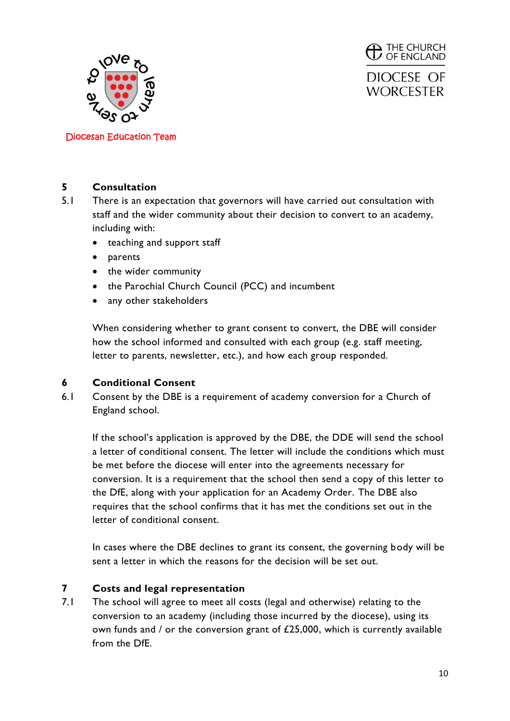

 $\mathcal{D}$  The Church  $\sigma$ DIOCESE OF **WORCESTER** 

Diocesan Education Team

### **5 Consultation**

- 5.1 There is an expectation that governors will have carried out consultation with staff and the wider community about their decision to convert to an academy, including with:
	- teaching and support staff
	- parents
	- the wider community
	- the Parochial Church Council (PCC) and incumbent
	- any other stakeholders

When considering whether to grant consent to convert, the DBE will consider how the school informed and consulted with each group (e.g. staff meeting, letter to parents, newsletter, etc.), and how each group responded.

## **6 Conditional Consent**

6.1 Consent by the DBE is a requirement of academy conversion for a Church of England school.

If the school's application is approved by the DBE, the DDE will send the school a letter of conditional consent. The letter will include the conditions which must be met before the diocese will enter into the agreements necessary for conversion. It is a requirement that the school then send a copy of this letter to the DfE, along with your application for an Academy Order. The DBE also requires that the school confirms that it has met the conditions set out in the letter of conditional consent.

In cases where the DBE declines to grant its consent, the governing body will be sent a letter in which the reasons for the decision will be set out.

## **7 Costs and legal representation**

7.1 The school will agree to meet all costs (legal and otherwise) relating to the conversion to an academy (including those incurred by the diocese), using its own funds and / or the conversion grant of £25,000, which is currently available from the DfE.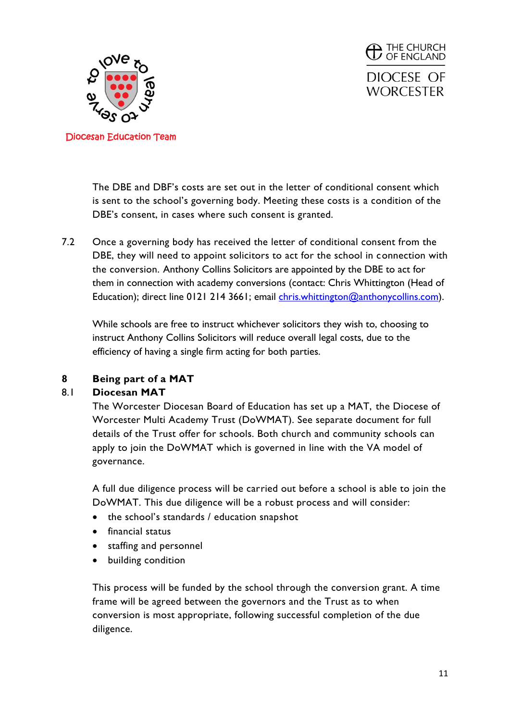

**THE CHURCH**<br>**D** OF ENGLAND DIOCESE OF **WORCESTER** 

The DBE and DBF's costs are set out in the letter of conditional consent which is sent to the school's governing body. Meeting these costs is a condition of the DBE's consent, in cases where such consent is granted.

7.2 Once a governing body has received the letter of conditional consent from the DBE, they will need to appoint solicitors to act for the school in connection with the conversion. Anthony Collins Solicitors are appointed by the DBE to act for them in connection with academy conversions (contact: Chris Whittington (Head of Education); direct line 0121 214 3661; email [chris.whittington@anthonycollins.com\)](mailto:chris.whittington@anthonycollins.com).

While schools are free to instruct whichever solicitors they wish to, choosing to instruct Anthony Collins Solicitors will reduce overall legal costs, due to the efficiency of having a single firm acting for both parties.

# **8 Being part of a MAT**

## 8.1 **Diocesan MAT**

The Worcester Diocesan Board of Education has set up a MAT, the Diocese of Worcester Multi Academy Trust (DoWMAT). See separate document for full details of the Trust offer for schools. Both church and community schools can apply to join the DoWMAT which is governed in line with the VA model of governance.

A full due diligence process will be carried out before a school is able to join the DoWMAT. This due diligence will be a robust process and will consider:

- the school's standards / education snapshot
- $\bullet$  financial status
- staffing and personnel
- building condition

This process will be funded by the school through the conversion grant. A time frame will be agreed between the governors and the Trust as to when conversion is most appropriate, following successful completion of the due diligence.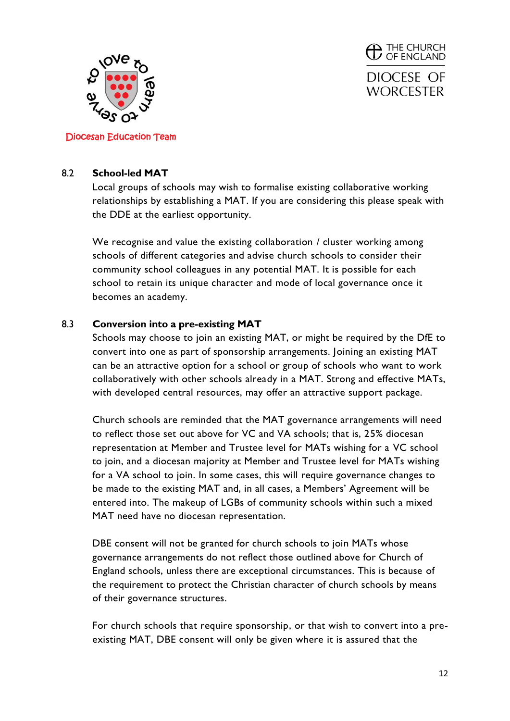

**THE CHURCH**<br>**D** OF ENGLAND DIOCESE OF **WORCESTER** 

### Diocesan Education Team

### 8.2 **School-led MAT**

Local groups of schools may wish to formalise existing collaborative working relationships by establishing a MAT. If you are considering this please speak with the DDE at the earliest opportunity.

We recognise and value the existing collaboration / cluster working among schools of different categories and advise church schools to consider their community school colleagues in any potential MAT. It is possible for each school to retain its unique character and mode of local governance once it becomes an academy.

### 8.3 **Conversion into a pre-existing MAT**

Schools may choose to join an existing MAT, or might be required by the DfE to convert into one as part of sponsorship arrangements. Joining an existing MAT can be an attractive option for a school or group of schools who want to work collaboratively with other schools already in a MAT. Strong and effective MATs, with developed central resources, may offer an attractive support package.

Church schools are reminded that the MAT governance arrangements will need to reflect those set out above for VC and VA schools; that is, 25% diocesan representation at Member and Trustee level for MATs wishing for a VC school to join, and a diocesan majority at Member and Trustee level for MATs wishing for a VA school to join. In some cases, this will require governance changes to be made to the existing MAT and, in all cases, a Members' Agreement will be entered into. The makeup of LGBs of community schools within such a mixed MAT need have no diocesan representation.

DBE consent will not be granted for church schools to join MATs whose governance arrangements do not reflect those outlined above for Church of England schools, unless there are exceptional circumstances. This is because of the requirement to protect the Christian character of church schools by means of their governance structures.

For church schools that require sponsorship, or that wish to convert into a preexisting MAT, DBE consent will only be given where it is assured that the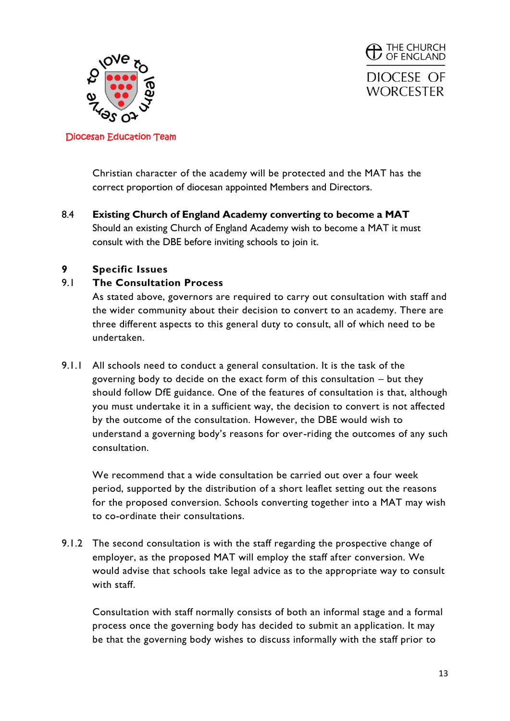



Christian character of the academy will be protected and the MAT has the correct proportion of diocesan appointed Members and Directors.

8.4 **Existing Church of England Academy converting to become a MAT** Should an existing Church of England Academy wish to become a MAT it must consult with the DBE before inviting schools to join it.

# **9 Specific Issues**

## 9.1 **The Consultation Process**

As stated above, governors are required to carry out consultation with staff and the wider community about their decision to convert to an academy. There are three different aspects to this general duty to consult, all of which need to be undertaken.

9.1.1 All schools need to conduct a general consultation. It is the task of the governing body to decide on the exact form of this consultation – but they should follow DfE guidance. One of the features of consultation is that, although you must undertake it in a sufficient way, the decision to convert is not affected by the outcome of the consultation. However, the DBE would wish to understand a governing body's reasons for over-riding the outcomes of any such consultation.

We recommend that a wide consultation be carried out over a four week period, supported by the distribution of a short leaflet setting out the reasons for the proposed conversion. Schools converting together into a MAT may wish to co-ordinate their consultations.

9.1.2 The second consultation is with the staff regarding the prospective change of employer, as the proposed MAT will employ the staff after conversion. We would advise that schools take legal advice as to the appropriate way to consult with staff.

Consultation with staff normally consists of both an informal stage and a formal process once the governing body has decided to submit an application. It may be that the governing body wishes to discuss informally with the staff prior to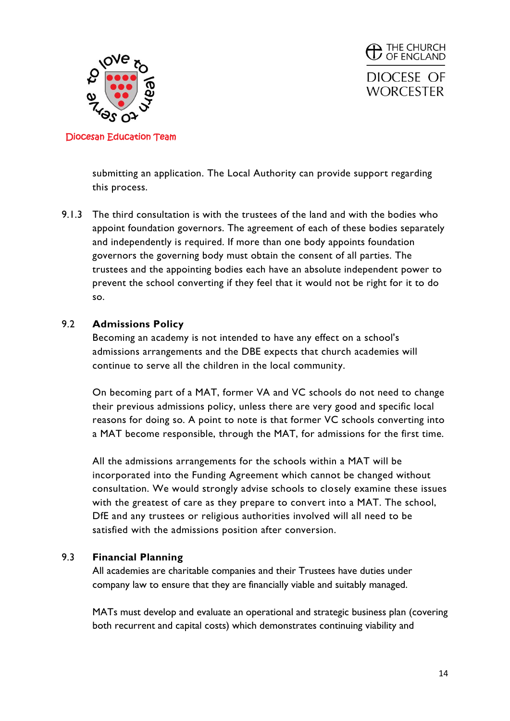

 $\mathcal{D}$  The Church  $\sigma$ DIOCESE OF **WORCESTER** 

Diocesan Education Team

submitting an application. The Local Authority can provide support regarding this process.

9.1.3 The third consultation is with the trustees of the land and with the bodies who appoint foundation governors. The agreement of each of these bodies separately and independently is required. If more than one body appoints foundation governors the governing body must obtain the consent of all parties. The trustees and the appointing bodies each have an absolute independent power to prevent the school converting if they feel that it would not be right for it to do so.

### 9.2 **Admissions Policy**

Becoming an academy is not intended to have any effect on a school's admissions arrangements and the DBE expects that church academies will continue to serve all the children in the local community.

On becoming part of a MAT, former VA and VC schools do not need to change their previous admissions policy, unless there are very good and specific local reasons for doing so. A point to note is that former VC schools converting into a MAT become responsible, through the MAT, for admissions for the first time.

All the admissions arrangements for the schools within a MAT will be incorporated into the Funding Agreement which cannot be changed without consultation. We would strongly advise schools to closely examine these issues with the greatest of care as they prepare to convert into a MAT. The school, DfE and any trustees or religious authorities involved will all need to be satisfied with the admissions position after conversion.

### 9.3 **Financial Planning**

All academies are charitable companies and their Trustees have duties under company law to ensure that they are financially viable and suitably managed.

MATs must develop and evaluate an operational and strategic business plan (covering both recurrent and capital costs) which demonstrates continuing viability and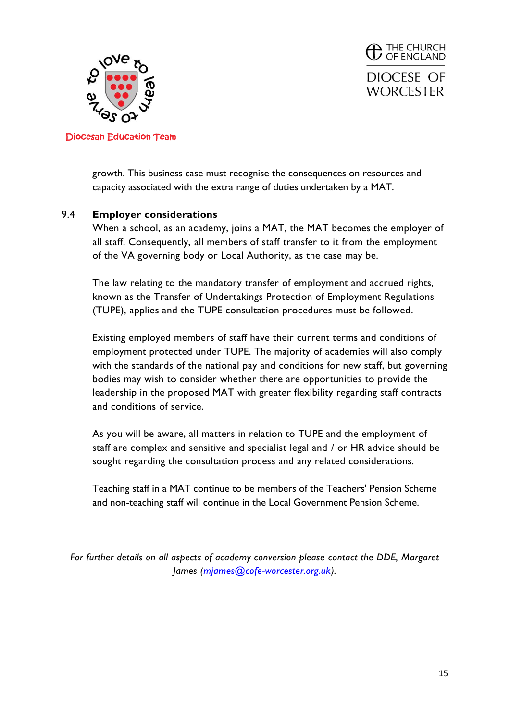



growth. This business case must recognise the consequences on resources and capacity associated with the extra range of duties undertaken by a MAT.

## 9.4 **Employer considerations**

When a school, as an academy, joins a MAT, the MAT becomes the employer of all staff. Consequently, all members of staff transfer to it from the employment of the VA governing body or Local Authority, as the case may be.

The law relating to the mandatory transfer of employment and accrued rights, known as the Transfer of Undertakings Protection of Employment Regulations (TUPE), applies and the TUPE consultation procedures must be followed.

Existing employed members of staff have their current terms and conditions of employment protected under TUPE. The majority of academies will also comply with the standards of the national pay and conditions for new staff, but governing bodies may wish to consider whether there are opportunities to provide the leadership in the proposed MAT with greater flexibility regarding staff contracts and conditions of service.

As you will be aware, all matters in relation to TUPE and the employment of staff are complex and sensitive and specialist legal and / or HR advice should be sought regarding the consultation process and any related considerations.

Teaching staff in a MAT continue to be members of the Teachers' Pension Scheme and non-teaching staff will continue in the Local Government Pension Scheme.

*For further details on all aspects of academy conversion please contact the DDE, Margaret James [\(mjames@cofe-worcester.org.uk\)](mailto:mjames@cofe-worcester.org.uk).*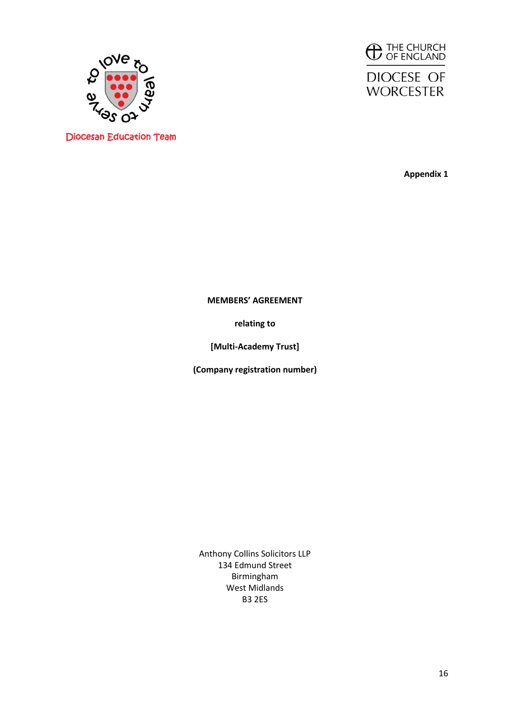





**Appendix 1**

**MEMBERS' AGREEMENT**

**relating to**

**[Multi-Academy Trust]**

**(Company registration number)**

Anthony Collins Solicitors LLP 134 Edmund Street Birmingham West Midlands B3 2ES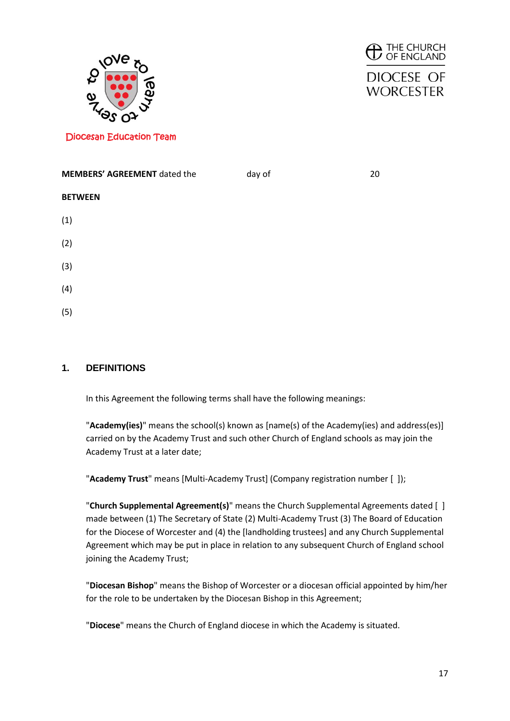



# **DIOCESE OF WORCESTER**

Diocesan Education Team

| <b>MEMBERS' AGREEMENT</b> dated the | day of | 20 |
|-------------------------------------|--------|----|
| <b>BETWEEN</b>                      |        |    |
| (1)                                 |        |    |
| (2)                                 |        |    |
| (3)                                 |        |    |
| (4)                                 |        |    |
| (5)                                 |        |    |

### **1. DEFINITIONS**

In this Agreement the following terms shall have the following meanings:

"**Academy(ies)**" means the school(s) known as [name(s) of the Academy(ies) and address(es)] carried on by the Academy Trust and such other Church of England schools as may join the Academy Trust at a later date;

"**Academy Trust**" means [Multi-Academy Trust] (Company registration number [ ]);

"**Church Supplemental Agreement(s)**" means the Church Supplemental Agreements dated [ ] made between (1) The Secretary of State (2) Multi-Academy Trust (3) The Board of Education for the Diocese of Worcester and (4) the [landholding trustees] and any Church Supplemental Agreement which may be put in place in relation to any subsequent Church of England school joining the Academy Trust;

"**Diocesan Bishop**" means the Bishop of Worcester or a diocesan official appointed by him/her for the role to be undertaken by the Diocesan Bishop in this Agreement;

"**Diocese**" means the Church of England diocese in which the Academy is situated.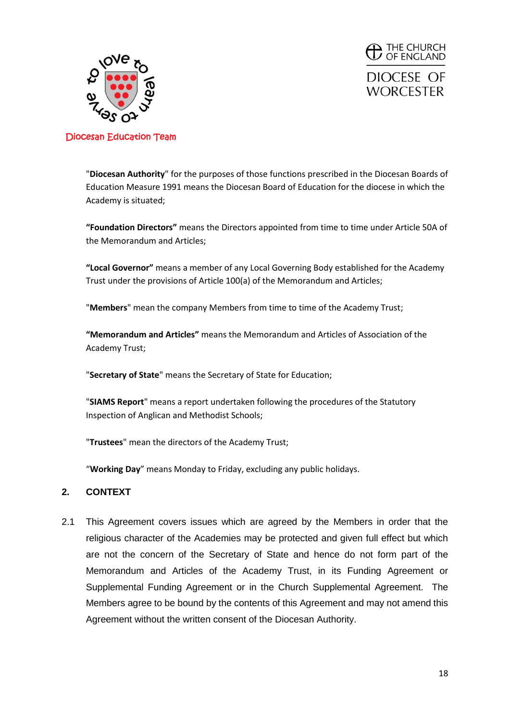



"**Diocesan Authority**" for the purposes of those functions prescribed in the Diocesan Boards of Education Measure 1991 means the Diocesan Board of Education for the diocese in which the Academy is situated;

**"Foundation Directors"** means the Directors appointed from time to time under Article 50A of the Memorandum and Articles;

**"Local Governor"** means a member of any Local Governing Body established for the Academy Trust under the provisions of Article 100(a) of the Memorandum and Articles;

"**Members**" mean the company Members from time to time of the Academy Trust;

**"Memorandum and Articles"** means the Memorandum and Articles of Association of the Academy Trust;

"**Secretary of State**" means the Secretary of State for Education;

"**SIAMS Report**" means a report undertaken following the procedures of the Statutory Inspection of Anglican and Methodist Schools;

"**Trustees**" mean the directors of the Academy Trust;

"**Working Day**" means Monday to Friday, excluding any public holidays.

#### **2. CONTEXT**

2.1 This Agreement covers issues which are agreed by the Members in order that the religious character of the Academies may be protected and given full effect but which are not the concern of the Secretary of State and hence do not form part of the Memorandum and Articles of the Academy Trust, in its Funding Agreement or Supplemental Funding Agreement or in the Church Supplemental Agreement. The Members agree to be bound by the contents of this Agreement and may not amend this Agreement without the written consent of the Diocesan Authority.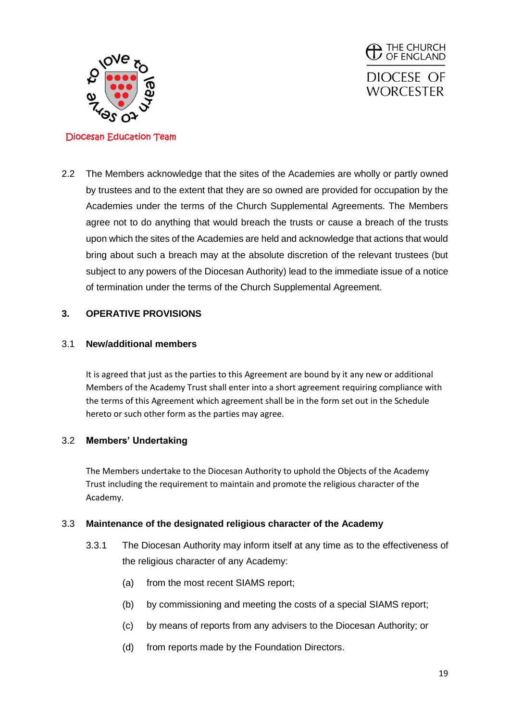



2.2 The Members acknowledge that the sites of the Academies are wholly or partly owned by trustees and to the extent that they are so owned are provided for occupation by the Academies under the terms of the Church Supplemental Agreements. The Members agree not to do anything that would breach the trusts or cause a breach of the trusts upon which the sites of the Academies are held and acknowledge that actions that would bring about such a breach may at the absolute discretion of the relevant trustees (but subject to any powers of the Diocesan Authority) lead to the immediate issue of a notice of termination under the terms of the Church Supplemental Agreement.

### **3. OPERATIVE PROVISIONS**

### 3.1 **New/additional members**

It is agreed that just as the parties to this Agreement are bound by it any new or additional Members of the Academy Trust shall enter into a short agreement requiring compliance with the terms of this Agreement which agreement shall be in the form set out in the Schedule hereto or such other form as the parties may agree.

### 3.2 **Members' Undertaking**

The Members undertake to the Diocesan Authority to uphold the Objects of the Academy Trust including the requirement to maintain and promote the religious character of the Academy.

#### 3.3 **Maintenance of the designated religious character of the Academy**

- 3.3.1 The Diocesan Authority may inform itself at any time as to the effectiveness of the religious character of any Academy:
	- (a) from the most recent SIAMS report;
	- (b) by commissioning and meeting the costs of a special SIAMS report;
	- (c) by means of reports from any advisers to the Diocesan Authority; or
	- (d) from reports made by the Foundation Directors.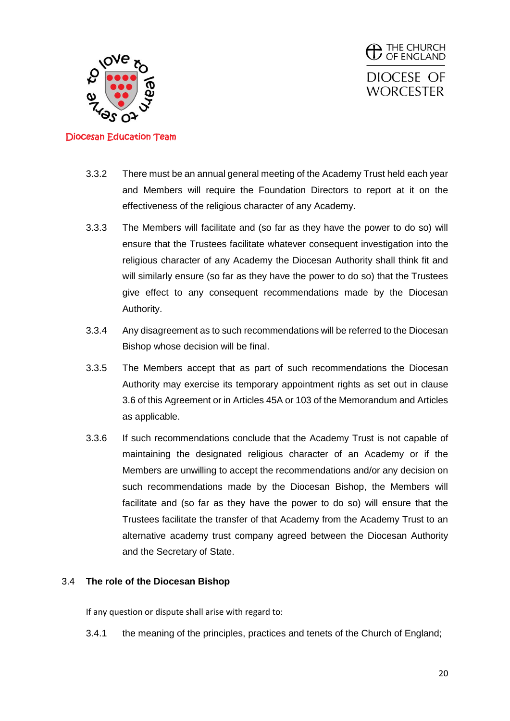



- 3.3.2 There must be an annual general meeting of the Academy Trust held each year and Members will require the Foundation Directors to report at it on the effectiveness of the religious character of any Academy.
- 3.3.3 The Members will facilitate and (so far as they have the power to do so) will ensure that the Trustees facilitate whatever consequent investigation into the religious character of any Academy the Diocesan Authority shall think fit and will similarly ensure (so far as they have the power to do so) that the Trustees give effect to any consequent recommendations made by the Diocesan Authority.
- 3.3.4 Any disagreement as to such recommendations will be referred to the Diocesan Bishop whose decision will be final.
- 3.3.5 The Members accept that as part of such recommendations the Diocesan Authority may exercise its temporary appointment rights as set out in clause 3.6 of this Agreement or in Articles 45A or 103 of the Memorandum and Articles as applicable.
- 3.3.6 If such recommendations conclude that the Academy Trust is not capable of maintaining the designated religious character of an Academy or if the Members are unwilling to accept the recommendations and/or any decision on such recommendations made by the Diocesan Bishop, the Members will facilitate and (so far as they have the power to do so) will ensure that the Trustees facilitate the transfer of that Academy from the Academy Trust to an alternative academy trust company agreed between the Diocesan Authority and the Secretary of State.

### 3.4 **The role of the Diocesan Bishop**

If any question or dispute shall arise with regard to:

3.4.1 the meaning of the principles, practices and tenets of the Church of England;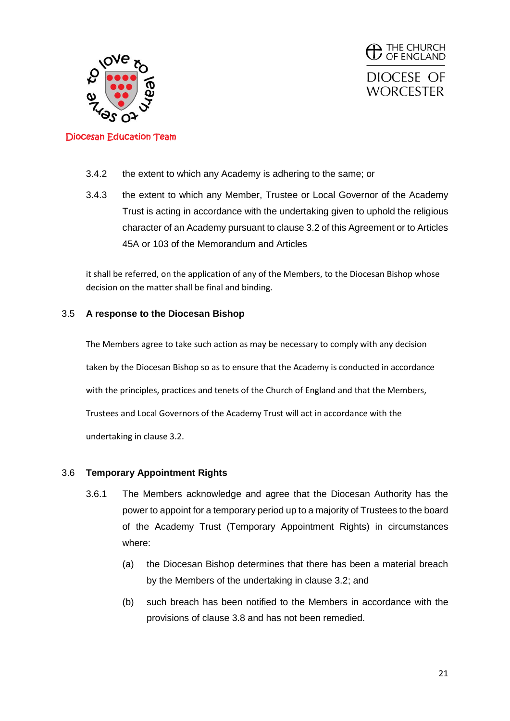



- 3.4.2 the extent to which any Academy is adhering to the same; or
- 3.4.3 the extent to which any Member, Trustee or Local Governor of the Academy Trust is acting in accordance with the undertaking given to uphold the religious character of an Academy pursuant to clause 3.2 of this Agreement or to Articles 45A or 103 of the Memorandum and Articles

it shall be referred, on the application of any of the Members, to the Diocesan Bishop whose decision on the matter shall be final and binding.

#### 3.5 **A response to the Diocesan Bishop**

The Members agree to take such action as may be necessary to comply with any decision taken by the Diocesan Bishop so as to ensure that the Academy is conducted in accordance with the principles, practices and tenets of the Church of England and that the Members, Trustees and Local Governors of the Academy Trust will act in accordance with the undertaking in clause 3.2.

#### 3.6 **Temporary Appointment Rights**

- 3.6.1 The Members acknowledge and agree that the Diocesan Authority has the power to appoint for a temporary period up to a majority of Trustees to the board of the Academy Trust (Temporary Appointment Rights) in circumstances where:
	- (a) the Diocesan Bishop determines that there has been a material breach by the Members of the undertaking in clause 3.2; and
	- (b) such breach has been notified to the Members in accordance with the provisions of clause 3.8 and has not been remedied.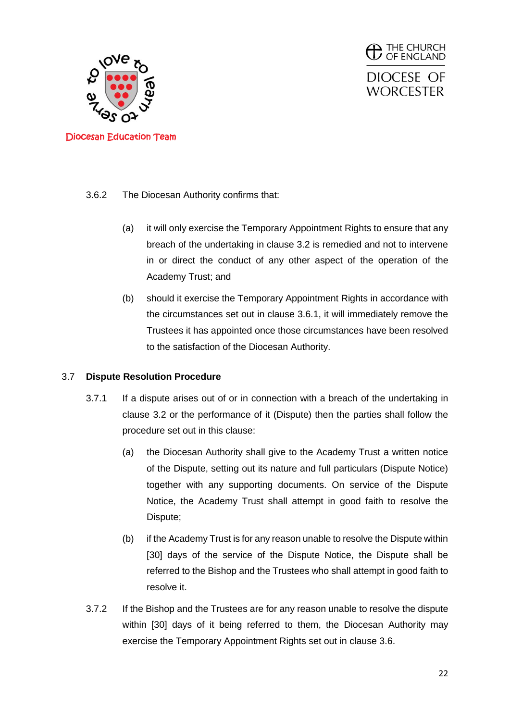



- 3.6.2 The Diocesan Authority confirms that:
	- (a) it will only exercise the Temporary Appointment Rights to ensure that any breach of the undertaking in clause 3.2 is remedied and not to intervene in or direct the conduct of any other aspect of the operation of the Academy Trust; and
	- (b) should it exercise the Temporary Appointment Rights in accordance with the circumstances set out in clause 3.6.1, it will immediately remove the Trustees it has appointed once those circumstances have been resolved to the satisfaction of the Diocesan Authority.

#### 3.7 **Dispute Resolution Procedure**

- 3.7.1 If a dispute arises out of or in connection with a breach of the undertaking in clause 3.2 or the performance of it (Dispute) then the parties shall follow the procedure set out in this clause:
	- (a) the Diocesan Authority shall give to the Academy Trust a written notice of the Dispute, setting out its nature and full particulars (Dispute Notice) together with any supporting documents. On service of the Dispute Notice, the Academy Trust shall attempt in good faith to resolve the Dispute;
	- (b) if the Academy Trust is for any reason unable to resolve the Dispute within [30] days of the service of the Dispute Notice, the Dispute shall be referred to the Bishop and the Trustees who shall attempt in good faith to resolve it.
- 3.7.2 If the Bishop and the Trustees are for any reason unable to resolve the dispute within [30] days of it being referred to them, the Diocesan Authority may exercise the Temporary Appointment Rights set out in clause 3.6.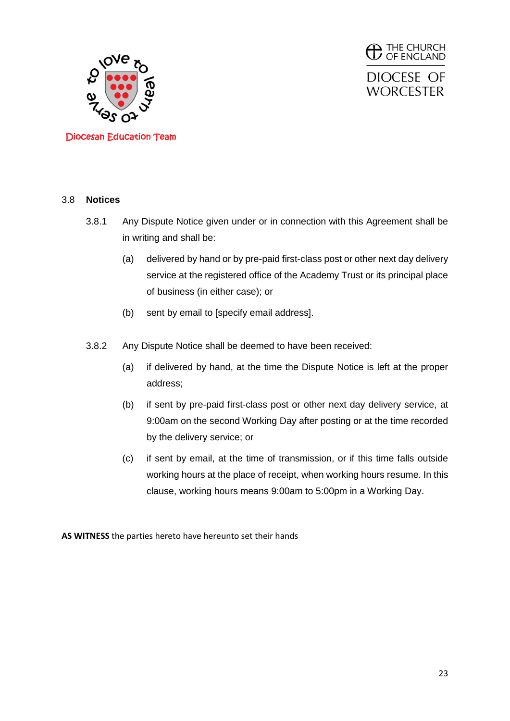



#### 3.8 **Notices**

- 3.8.1 Any Dispute Notice given under or in connection with this Agreement shall be in writing and shall be:
	- (a) delivered by hand or by pre-paid first-class post or other next day delivery service at the registered office of the Academy Trust or its principal place of business (in either case); or
	- (b) sent by email to [specify email address].
- 3.8.2 Any Dispute Notice shall be deemed to have been received:
	- (a) if delivered by hand, at the time the Dispute Notice is left at the proper address;
	- (b) if sent by pre-paid first-class post or other next day delivery service, at 9:00am on the second Working Day after posting or at the time recorded by the delivery service; or
	- (c) if sent by email, at the time of transmission, or if this time falls outside working hours at the place of receipt, when working hours resume. In this clause, working hours means 9:00am to 5:00pm in a Working Day.

**AS WITNESS** the parties hereto have hereunto set their hands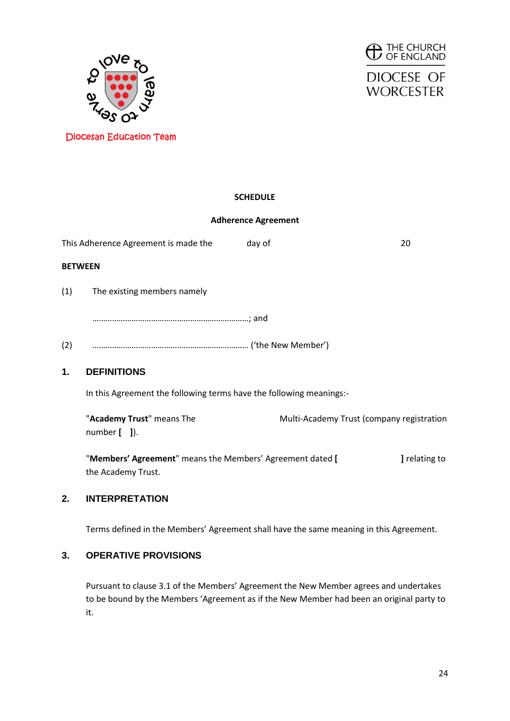





### **SCHEDULE**

### **Adherence Agreement**

This Adherence Agreement is made the day of 20 **BETWEEN** (1) The existing members namely ………………………………………………………………; and (2) ……………………………………………………………… ('the New Member') **1. DEFINITIONS** In this Agreement the following terms have the following meanings:- "**Academy Trust**" means The Multi-Academy Trust (company registration number **[ ]**).

"**Members' Agreement**" means the Members' Agreement dated **[ ]** relating to the Academy Trust.

#### **2. INTERPRETATION**

Terms defined in the Members' Agreement shall have the same meaning in this Agreement.

#### **3. OPERATIVE PROVISIONS**

Pursuant to clause 3.1 of the Members' Agreement the New Member agrees and undertakes to be bound by the Members 'Agreement as if the New Member had been an original party to it.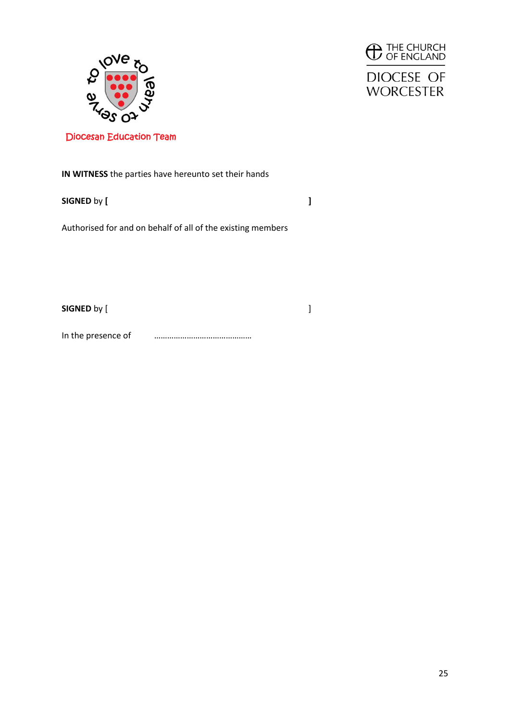





**IN WITNESS** the parties have hereunto set their hands

**SIGNED** by **[ ]**

Authorised for and on behalf of all of the existing members

**SIGNED** by [  $\qquad \qquad$  ]

In the presence of **we are all that the presence of**  $\cdots$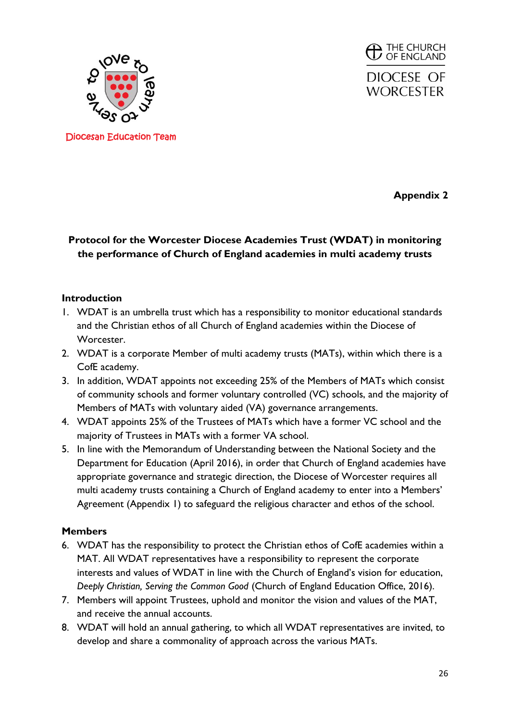

**THE CHURCH**<br>**D** OF ENGLAND DIOCESE OF **WORCESTER** 

Diocesan Education Team

**Appendix 2**

# **Protocol for the Worcester Diocese Academies Trust (WDAT) in monitoring the performance of Church of England academies in multi academy trusts**

### **Introduction**

- 1. WDAT is an umbrella trust which has a responsibility to monitor educational standards and the Christian ethos of all Church of England academies within the Diocese of Worcester.
- 2. WDAT is a corporate Member of multi academy trusts (MATs), within which there is a CofE academy.
- 3. In addition, WDAT appoints not exceeding 25% of the Members of MATs which consist of community schools and former voluntary controlled (VC) schools, and the majority of Members of MATs with voluntary aided (VA) governance arrangements.
- 4. WDAT appoints 25% of the Trustees of MATs which have a former VC school and the majority of Trustees in MATs with a former VA school.
- 5. In line with the Memorandum of Understanding between the National Society and the Department for Education (April 2016), in order that Church of England academies have appropriate governance and strategic direction, the Diocese of Worcester requires all multi academy trusts containing a Church of England academy to enter into a Members' Agreement (Appendix 1) to safeguard the religious character and ethos of the school.

### **Members**

- 6. WDAT has the responsibility to protect the Christian ethos of CofE academies within a MAT. All WDAT representatives have a responsibility to represent the corporate interests and values of WDAT in line with the Church of England's vision for education, *Deeply Christian, Serving the Common Good* (Church of England Education Office, 2016).
- 7. Members will appoint Trustees, uphold and monitor the vision and values of the MAT, and receive the annual accounts.
- 8. WDAT will hold an annual gathering, to which all WDAT representatives are invited, to develop and share a commonality of approach across the various MATs.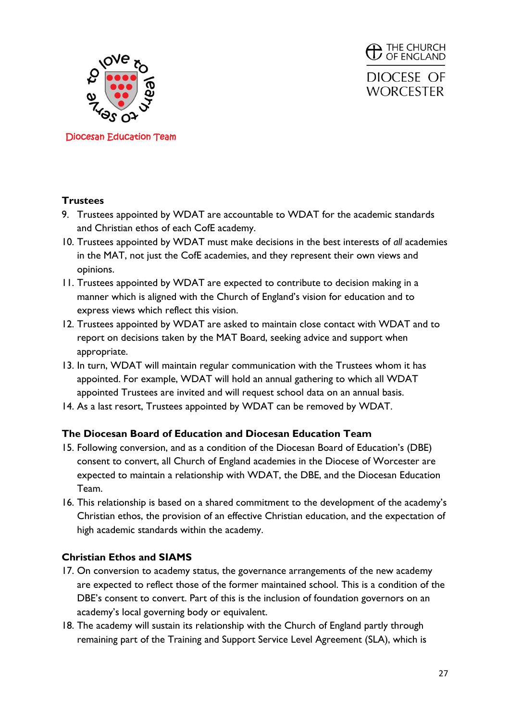

**THE CHURCH**<br>**D** OF ENGLAND DIOCESE OF **WORCESTER** 

### **Trustees**

- 9. Trustees appointed by WDAT are accountable to WDAT for the academic standards and Christian ethos of each CofE academy.
- 10. Trustees appointed by WDAT must make decisions in the best interests of *all* academies in the MAT, not just the CofE academies, and they represent their own views and opinions.
- 11. Trustees appointed by WDAT are expected to contribute to decision making in a manner which is aligned with the Church of England's vision for education and to express views which reflect this vision.
- 12. Trustees appointed by WDAT are asked to maintain close contact with WDAT and to report on decisions taken by the MAT Board, seeking advice and support when appropriate.
- 13. In turn, WDAT will maintain regular communication with the Trustees whom it has appointed. For example, WDAT will hold an annual gathering to which all WDAT appointed Trustees are invited and will request school data on an annual basis.
- 14. As a last resort, Trustees appointed by WDAT can be removed by WDAT.

### **The Diocesan Board of Education and Diocesan Education Team**

- 15. Following conversion, and as a condition of the Diocesan Board of Education's (DBE) consent to convert, all Church of England academies in the Diocese of Worcester are expected to maintain a relationship with WDAT, the DBE, and the Diocesan Education Team.
- 16. This relationship is based on a shared commitment to the development of the academy's Christian ethos, the provision of an effective Christian education, and the expectation of high academic standards within the academy.

### **Christian Ethos and SIAMS**

- 17. On conversion to academy status, the governance arrangements of the new academy are expected to reflect those of the former maintained school. This is a condition of the DBE's consent to convert. Part of this is the inclusion of foundation governors on an academy's local governing body or equivalent.
- 18. The academy will sustain its relationship with the Church of England partly through remaining part of the Training and Support Service Level Agreement (SLA), which is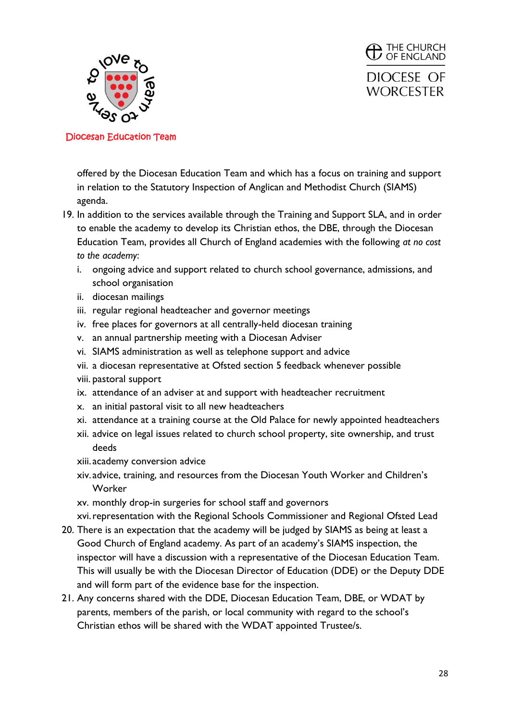

 $\bigoplus$  THE CHURCH DIOCESE OF **WORCESTER** 

Diocesan Education Team

offered by the Diocesan Education Team and which has a focus on training and support in relation to the Statutory Inspection of Anglican and Methodist Church (SIAMS) agenda.

- 19. In addition to the services available through the Training and Support SLA, and in order to enable the academy to develop its Christian ethos, the DBE, through the Diocesan Education Team, provides all Church of England academies with the following *at no cost to the academy*:
	- i. ongoing advice and support related to church school governance, admissions, and school organisation
	- ii. diocesan mailings
	- iii. regular regional headteacher and governor meetings
	- iv. free places for governors at all centrally-held diocesan training
	- v. an annual partnership meeting with a Diocesan Adviser
	- vi. SIAMS administration as well as telephone support and advice
	- vii. a diocesan representative at Ofsted section 5 feedback whenever possible
	- viii. pastoral support
	- ix. attendance of an adviser at and support with headteacher recruitment
	- x. an initial pastoral visit to all new headteachers
	- xi. attendance at a training course at the Old Palace for newly appointed headteachers
	- xii. advice on legal issues related to church school property, site ownership, and trust deeds
	- xiii. academy conversion advice
	- xiv. advice, training, and resources from the Diocesan Youth Worker and Children's Worker
	- xv. monthly drop-in surgeries for school staff and governors

xvi.representation with the Regional Schools Commissioner and Regional Ofsted Lead

- 20. There is an expectation that the academy will be judged by SIAMS as being at least a Good Church of England academy. As part of an academy's SIAMS inspection, the inspector will have a discussion with a representative of the Diocesan Education Team. This will usually be with the Diocesan Director of Education (DDE) or the Deputy DDE and will form part of the evidence base for the inspection.
- 21. Any concerns shared with the DDE, Diocesan Education Team, DBE, or WDAT by parents, members of the parish, or local community with regard to the school's Christian ethos will be shared with the WDAT appointed Trustee/s.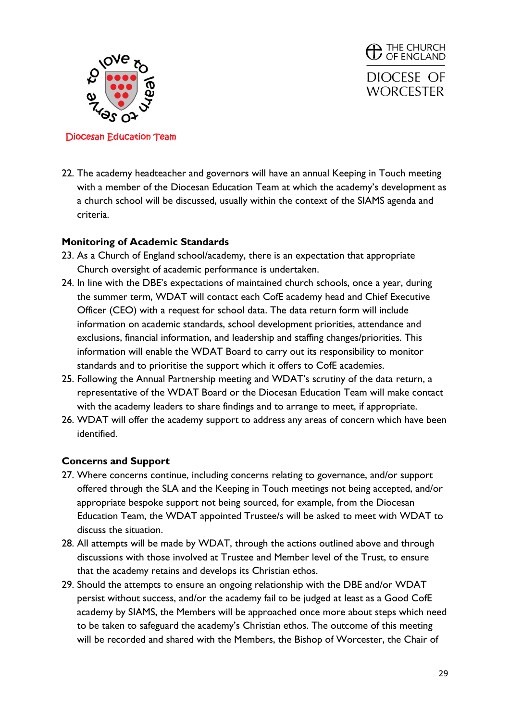

**THE CHURCH**<br>**D** OF ENGLAND DIOCESE OF **WORCESTER** 

#### Diocesan Education Team

22. The academy headteacher and governors will have an annual Keeping in Touch meeting with a member of the Diocesan Education Team at which the academy's development as a church school will be discussed, usually within the context of the SIAMS agenda and criteria.

### **Monitoring of Academic Standards**

- 23. As a Church of England school/academy, there is an expectation that appropriate Church oversight of academic performance is undertaken.
- 24. In line with the DBE's expectations of maintained church schools, once a year, during the summer term, WDAT will contact each CofE academy head and Chief Executive Officer (CEO) with a request for school data. The data return form will include information on academic standards, school development priorities, attendance and exclusions, financial information, and leadership and staffing changes/priorities. This information will enable the WDAT Board to carry out its responsibility to monitor standards and to prioritise the support which it offers to CofE academies.
- 25. Following the Annual Partnership meeting and WDAT's scrutiny of the data return, a representative of the WDAT Board or the Diocesan Education Team will make contact with the academy leaders to share findings and to arrange to meet, if appropriate.
- 26. WDAT will offer the academy support to address any areas of concern which have been identified.

## **Concerns and Support**

- 27. Where concerns continue, including concerns relating to governance, and/or support offered through the SLA and the Keeping in Touch meetings not being accepted, and/or appropriate bespoke support not being sourced, for example, from the Diocesan Education Team, the WDAT appointed Trustee/s will be asked to meet with WDAT to discuss the situation.
- 28. All attempts will be made by WDAT, through the actions outlined above and through discussions with those involved at Trustee and Member level of the Trust, to ensure that the academy retains and develops its Christian ethos.
- 29. Should the attempts to ensure an ongoing relationship with the DBE and/or WDAT persist without success, and/or the academy fail to be judged at least as a Good CofE academy by SIAMS, the Members will be approached once more about steps which need to be taken to safeguard the academy's Christian ethos. The outcome of this meeting will be recorded and shared with the Members, the Bishop of Worcester, the Chair of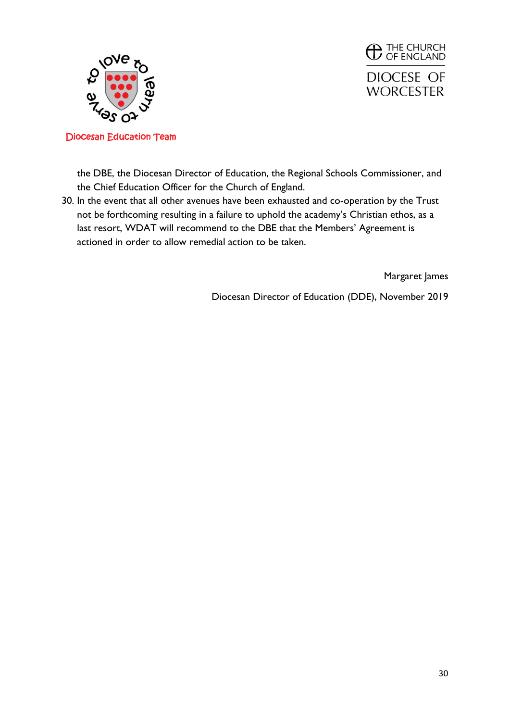



the DBE, the Diocesan Director of Education, the Regional Schools Commissioner, and the Chief Education Officer for the Church of England.

30. In the event that all other avenues have been exhausted and co-operation by the Trust not be forthcoming resulting in a failure to uphold the academy's Christian ethos, as a last resort, WDAT will recommend to the DBE that the Members' Agreement is actioned in order to allow remedial action to be taken.

Margaret James

Diocesan Director of Education (DDE), November 2019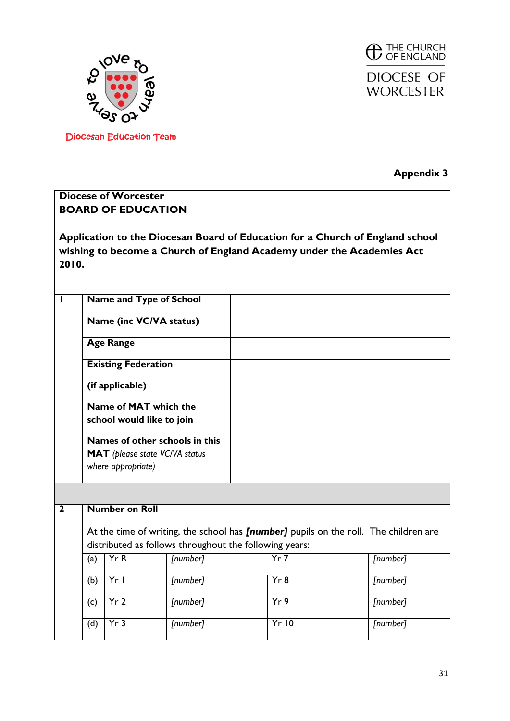



**Appendix 3**

## **Diocese of Worcester BOARD OF EDUCATION**

**Application to the Diocesan Board of Education for a Church of England school wishing to become a Church of England Academy under the Academies Act 2010.**

|              |                                                                                                                                                | <b>Name and Type of School</b>                     |          |  |                                           |  |          |  |
|--------------|------------------------------------------------------------------------------------------------------------------------------------------------|----------------------------------------------------|----------|--|-------------------------------------------|--|----------|--|
|              | <b>Name (inc VC/VA status)</b>                                                                                                                 |                                                    |          |  |                                           |  |          |  |
|              |                                                                                                                                                | <b>Age Range</b>                                   |          |  |                                           |  |          |  |
|              |                                                                                                                                                | <b>Existing Federation</b>                         |          |  |                                           |  |          |  |
|              |                                                                                                                                                | (if applicable)                                    |          |  |                                           |  |          |  |
|              |                                                                                                                                                | Name of MAT which the<br>school would like to join |          |  |                                           |  |          |  |
|              | Names of other schools in this<br><b>MAT</b> (please state VC/VA status<br>where appropriate)                                                  |                                                    |          |  |                                           |  |          |  |
|              |                                                                                                                                                |                                                    |          |  |                                           |  |          |  |
| $\mathbf{2}$ |                                                                                                                                                | <b>Number on Roll</b>                              |          |  |                                           |  |          |  |
|              | At the time of writing, the school has [number] pupils on the roll. The children are<br>distributed as follows throughout the following years: |                                                    |          |  |                                           |  |          |  |
|              | (a)                                                                                                                                            | YrR                                                | [number] |  | Yr7<br>[number]                           |  |          |  |
|              | (b)                                                                                                                                            | $Yr$                                               | [number] |  | Yr8                                       |  | [number] |  |
|              | (c)                                                                                                                                            | Yr <sub>2</sub>                                    | [number] |  | $\overline{Yr9}$<br>$\overline{[number]}$ |  |          |  |
|              | (d)                                                                                                                                            | Yr3                                                | [number] |  | Yr10                                      |  | [number] |  |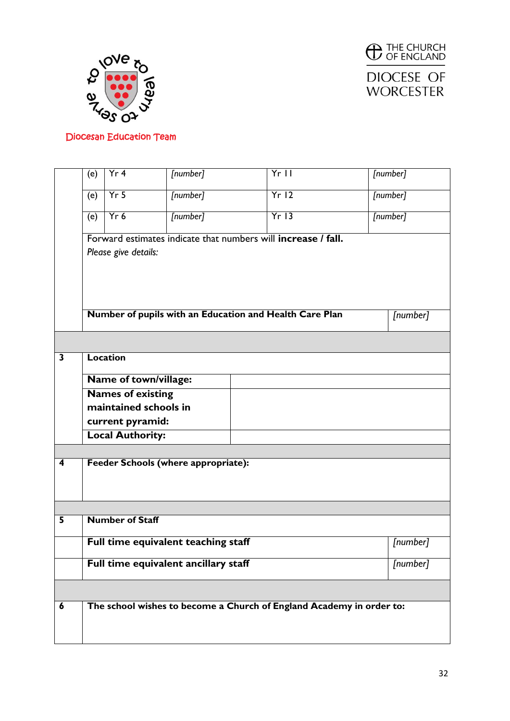



|                         | (e)                                              | Yr 4                    | [number]                                                      |  | $Yr$ |                                                                      | [number] |
|-------------------------|--------------------------------------------------|-------------------------|---------------------------------------------------------------|--|------|----------------------------------------------------------------------|----------|
|                         | (e)                                              | $Yr$ 5                  | [number]                                                      |  | Yr12 |                                                                      | [number] |
|                         | (e)                                              | Yr6                     | [number]                                                      |  | Yr13 |                                                                      | [number] |
|                         |                                                  |                         | Forward estimates indicate that numbers will increase / fall. |  |      |                                                                      |          |
|                         |                                                  | Please give details:    |                                                               |  |      |                                                                      |          |
|                         |                                                  |                         |                                                               |  |      |                                                                      |          |
|                         |                                                  |                         |                                                               |  |      |                                                                      |          |
|                         |                                                  |                         | Number of pupils with an Education and Health Care Plan       |  |      |                                                                      | [number] |
|                         |                                                  |                         |                                                               |  |      |                                                                      |          |
| $\overline{\mathbf{3}}$ |                                                  | <b>Location</b>         |                                                               |  |      |                                                                      |          |
|                         |                                                  | Name of town/village:   |                                                               |  |      |                                                                      |          |
|                         | <b>Names of existing</b>                         |                         |                                                               |  |      |                                                                      |          |
|                         |                                                  | maintained schools in   |                                                               |  |      |                                                                      |          |
|                         |                                                  | current pyramid:        |                                                               |  |      |                                                                      |          |
|                         |                                                  | <b>Local Authority:</b> |                                                               |  |      |                                                                      |          |
|                         |                                                  |                         |                                                               |  |      |                                                                      |          |
| 4                       |                                                  |                         | <b>Feeder Schools (where appropriate):</b>                    |  |      |                                                                      |          |
|                         |                                                  |                         |                                                               |  |      |                                                                      |          |
|                         |                                                  |                         |                                                               |  |      |                                                                      |          |
| 5                       |                                                  |                         |                                                               |  |      |                                                                      |          |
|                         | <b>Number of Staff</b>                           |                         |                                                               |  |      |                                                                      |          |
|                         | Full time equivalent teaching staff<br>[number]  |                         |                                                               |  |      |                                                                      |          |
|                         | Full time equivalent ancillary staff<br>[number] |                         |                                                               |  |      |                                                                      |          |
|                         |                                                  |                         |                                                               |  |      |                                                                      |          |
| 6                       |                                                  |                         |                                                               |  |      | The school wishes to become a Church of England Academy in order to: |          |
|                         |                                                  |                         |                                                               |  |      |                                                                      |          |
|                         |                                                  |                         |                                                               |  |      |                                                                      |          |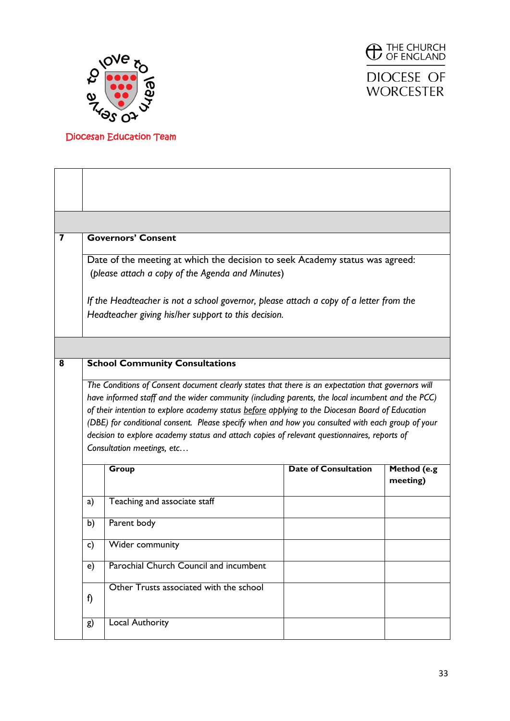



**WORCESTER** 

| 7                     |                                                                                                                                                                                                                                                                                                                                                                                                                                                                                                                                            | <b>Governors' Consent</b>                                                              |                             |                         |  |  |  |
|-----------------------|--------------------------------------------------------------------------------------------------------------------------------------------------------------------------------------------------------------------------------------------------------------------------------------------------------------------------------------------------------------------------------------------------------------------------------------------------------------------------------------------------------------------------------------------|----------------------------------------------------------------------------------------|-----------------------------|-------------------------|--|--|--|
|                       | Date of the meeting at which the decision to seek Academy status was agreed:<br>(please attach a copy of the Agenda and Minutes)                                                                                                                                                                                                                                                                                                                                                                                                           |                                                                                        |                             |                         |  |  |  |
|                       |                                                                                                                                                                                                                                                                                                                                                                                                                                                                                                                                            | If the Headteacher is not a school governor, please attach a copy of a letter from the |                             |                         |  |  |  |
|                       |                                                                                                                                                                                                                                                                                                                                                                                                                                                                                                                                            | Headteacher giving his/her support to this decision.                                   |                             |                         |  |  |  |
|                       |                                                                                                                                                                                                                                                                                                                                                                                                                                                                                                                                            |                                                                                        |                             |                         |  |  |  |
| 8                     |                                                                                                                                                                                                                                                                                                                                                                                                                                                                                                                                            | <b>School Community Consultations</b>                                                  |                             |                         |  |  |  |
|                       | The Conditions of Consent document clearly states that there is an expectation that governors will<br>have informed staff and the wider community (including parents, the local incumbent and the PCC)<br>of their intention to explore academy status before applying to the Diocesan Board of Education<br>(DBE) for conditional consent. Please specify when and how you consulted with each group of your<br>decision to explore academy status and attach copies of relevant questionnaires, reports of<br>Consultation meetings, etc |                                                                                        |                             |                         |  |  |  |
|                       |                                                                                                                                                                                                                                                                                                                                                                                                                                                                                                                                            | Group                                                                                  | <b>Date of Consultation</b> | Method (e.g<br>meeting) |  |  |  |
|                       | a)                                                                                                                                                                                                                                                                                                                                                                                                                                                                                                                                         | Teaching and associate staff                                                           |                             |                         |  |  |  |
|                       | Parent body<br>b)                                                                                                                                                                                                                                                                                                                                                                                                                                                                                                                          |                                                                                        |                             |                         |  |  |  |
| Wider community<br>C) |                                                                                                                                                                                                                                                                                                                                                                                                                                                                                                                                            |                                                                                        |                             |                         |  |  |  |
|                       | e)                                                                                                                                                                                                                                                                                                                                                                                                                                                                                                                                         | Parochial Church Council and incumbent                                                 |                             |                         |  |  |  |
|                       | f)                                                                                                                                                                                                                                                                                                                                                                                                                                                                                                                                         | Other Trusts associated with the school                                                |                             |                         |  |  |  |
|                       | g)                                                                                                                                                                                                                                                                                                                                                                                                                                                                                                                                         | <b>Local Authority</b>                                                                 |                             |                         |  |  |  |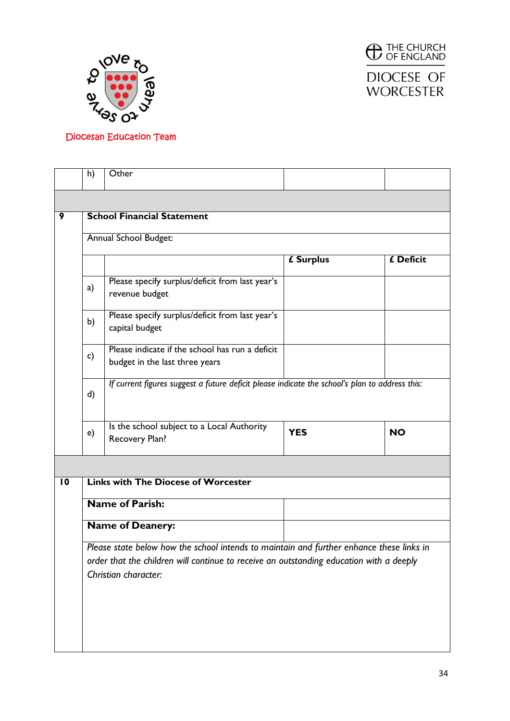



DIOCESE OF **WORCESTER** 

|                 | h)                                                                                                              | Other                                                                                          |            |           |  |  |  |  |
|-----------------|-----------------------------------------------------------------------------------------------------------------|------------------------------------------------------------------------------------------------|------------|-----------|--|--|--|--|
|                 |                                                                                                                 |                                                                                                |            |           |  |  |  |  |
| 9               | <b>School Financial Statement</b>                                                                               |                                                                                                |            |           |  |  |  |  |
|                 | Annual School Budget:                                                                                           |                                                                                                |            |           |  |  |  |  |
|                 |                                                                                                                 |                                                                                                | £ Surplus  | £ Deficit |  |  |  |  |
|                 | a)                                                                                                              | Please specify surplus/deficit from last year's<br>revenue budget                              |            |           |  |  |  |  |
|                 | b)                                                                                                              | Please specify surplus/deficit from last year's<br>capital budget                              |            |           |  |  |  |  |
|                 | $\mathsf{c}$                                                                                                    | Please indicate if the school has run a deficit<br>budget in the last three years              |            |           |  |  |  |  |
|                 | d)                                                                                                              | If current figures suggest a future deficit please indicate the school's plan to address this: |            |           |  |  |  |  |
|                 | e)                                                                                                              | Is the school subject to a Local Authority<br>Recovery Plan?                                   | <b>YES</b> | <b>NO</b> |  |  |  |  |
|                 |                                                                                                                 |                                                                                                |            |           |  |  |  |  |
| $\overline{10}$ |                                                                                                                 | <b>Links with The Diocese of Worcester</b>                                                     |            |           |  |  |  |  |
|                 |                                                                                                                 | <b>Name of Parish:</b>                                                                         |            |           |  |  |  |  |
|                 | <b>Name of Deanery:</b>                                                                                         |                                                                                                |            |           |  |  |  |  |
|                 | Please state below how the school intends to maintain and further enhance these links in                        |                                                                                                |            |           |  |  |  |  |
|                 | order that the children will continue to receive an outstanding education with a deeply<br>Christian character: |                                                                                                |            |           |  |  |  |  |
|                 |                                                                                                                 |                                                                                                |            |           |  |  |  |  |
|                 |                                                                                                                 |                                                                                                |            |           |  |  |  |  |
|                 |                                                                                                                 |                                                                                                |            |           |  |  |  |  |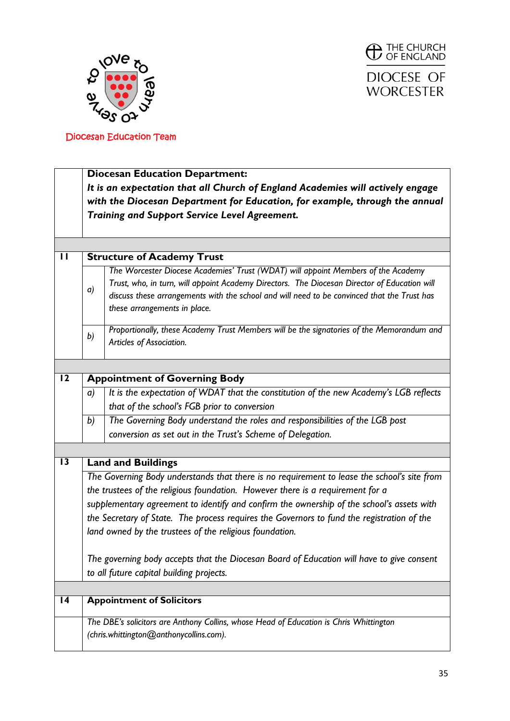



|                 | <b>Diocesan Education Department:</b>                                                       |                                                                                              |  |  |  |  |  |
|-----------------|---------------------------------------------------------------------------------------------|----------------------------------------------------------------------------------------------|--|--|--|--|--|
|                 | It is an expectation that all Church of England Academies will actively engage              |                                                                                              |  |  |  |  |  |
|                 | with the Diocesan Department for Education, for example, through the annual                 |                                                                                              |  |  |  |  |  |
|                 |                                                                                             | Training and Support Service Level Agreement.                                                |  |  |  |  |  |
|                 |                                                                                             |                                                                                              |  |  |  |  |  |
|                 |                                                                                             |                                                                                              |  |  |  |  |  |
| П               |                                                                                             | <b>Structure of Academy Trust</b>                                                            |  |  |  |  |  |
|                 |                                                                                             | The Worcester Diocese Academies' Trust (WDAT) will appoint Members of the Academy            |  |  |  |  |  |
|                 |                                                                                             | Trust, who, in turn, will appoint Academy Directors. The Diocesan Director of Education will |  |  |  |  |  |
|                 | a)                                                                                          | discuss these arrangements with the school and will need to be convinced that the Trust has  |  |  |  |  |  |
|                 |                                                                                             | these arrangements in place.                                                                 |  |  |  |  |  |
|                 |                                                                                             | Proportionally, these Academy Trust Members will be the signatories of the Memorandum and    |  |  |  |  |  |
|                 | b)                                                                                          | Articles of Association.                                                                     |  |  |  |  |  |
|                 |                                                                                             |                                                                                              |  |  |  |  |  |
| $\overline{12}$ |                                                                                             | <b>Appointment of Governing Body</b>                                                         |  |  |  |  |  |
|                 | a)                                                                                          | It is the expectation of WDAT that the constitution of the new Academy's LGB reflects        |  |  |  |  |  |
|                 |                                                                                             | that of the school's FGB prior to conversion                                                 |  |  |  |  |  |
|                 | b)                                                                                          | The Governing Body understand the roles and responsibilities of the LGB post                 |  |  |  |  |  |
|                 |                                                                                             | conversion as set out in the Trust's Scheme of Delegation.                                   |  |  |  |  |  |
|                 |                                                                                             |                                                                                              |  |  |  |  |  |
| $\overline{13}$ |                                                                                             | <b>Land and Buildings</b>                                                                    |  |  |  |  |  |
|                 | The Governing Body understands that there is no requirement to lease the school's site from |                                                                                              |  |  |  |  |  |
|                 |                                                                                             | the trustees of the religious foundation. However there is a requirement for a               |  |  |  |  |  |
|                 |                                                                                             | supplementary agreement to identify and confirm the ownership of the school's assets with    |  |  |  |  |  |
|                 |                                                                                             |                                                                                              |  |  |  |  |  |
|                 |                                                                                             | the Secretary of State. The process requires the Governors to fund the registration of the   |  |  |  |  |  |
|                 |                                                                                             | land owned by the trustees of the religious foundation.                                      |  |  |  |  |  |
|                 |                                                                                             | The governing body accepts that the Diocesan Board of Education will have to give consent    |  |  |  |  |  |
|                 |                                                                                             | to all future capital building projects.                                                     |  |  |  |  |  |
|                 |                                                                                             |                                                                                              |  |  |  |  |  |
| $\overline{14}$ |                                                                                             | <b>Appointment of Solicitors</b>                                                             |  |  |  |  |  |
|                 |                                                                                             | The DBE's solicitors are Anthony Collins, whose Head of Education is Chris Whittington       |  |  |  |  |  |
|                 |                                                                                             | (chris.whittington@anthonycollins.com).                                                      |  |  |  |  |  |
|                 |                                                                                             |                                                                                              |  |  |  |  |  |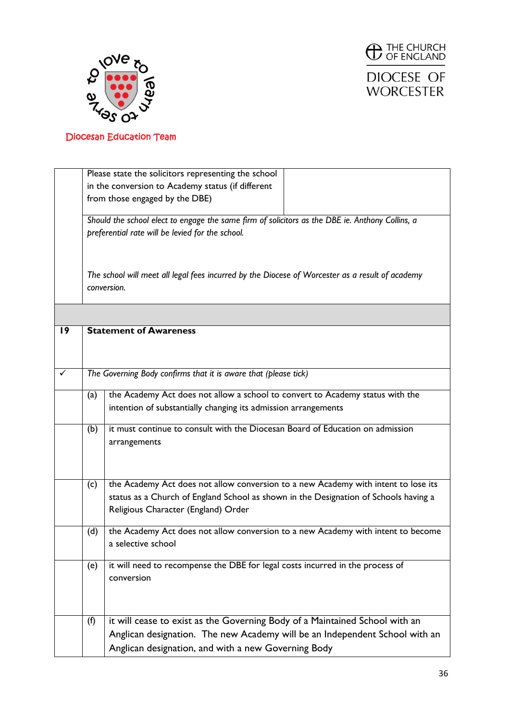



DIOCESE OF **WORCESTER** 

|              |     | Please state the solicitors representing the school                                             |
|--------------|-----|-------------------------------------------------------------------------------------------------|
|              |     | in the conversion to Academy status (if different                                               |
|              |     | from those engaged by the DBE)                                                                  |
|              |     |                                                                                                 |
|              |     | Should the school elect to engage the same firm of solicitors as the DBE ie. Anthony Collins, a |
|              |     | preferential rate will be levied for the school.                                                |
|              |     |                                                                                                 |
|              |     |                                                                                                 |
|              |     |                                                                                                 |
|              |     | The school will meet all legal fees incurred by the Diocese of Worcester as a result of academy |
|              |     | conversion.                                                                                     |
|              |     |                                                                                                 |
|              |     |                                                                                                 |
| 19           |     | <b>Statement of Awareness</b>                                                                   |
|              |     |                                                                                                 |
|              |     |                                                                                                 |
|              |     |                                                                                                 |
| $\checkmark$ |     | The Governing Body confirms that it is aware that (please tick)                                 |
|              |     |                                                                                                 |
|              | (a) | the Academy Act does not allow a school to convert to Academy status with the                   |
|              |     | intention of substantially changing its admission arrangements                                  |
|              |     |                                                                                                 |
|              | (b) | it must continue to consult with the Diocesan Board of Education on admission                   |
|              |     | arrangements                                                                                    |
|              |     |                                                                                                 |
|              |     |                                                                                                 |
|              | (c) | the Academy Act does not allow conversion to a new Academy with intent to lose its              |
|              |     | status as a Church of England School as shown in the Designation of Schools having a            |
|              |     |                                                                                                 |
|              |     | Religious Character (England) Order                                                             |
|              | (d) | the Academy Act does not allow conversion to a new Academy with intent to become                |
|              |     | a selective school                                                                              |
|              |     |                                                                                                 |
|              | (e) | it will need to recompense the DBE for legal costs incurred in the process of                   |
|              |     | conversion                                                                                      |
|              |     |                                                                                                 |
|              |     |                                                                                                 |
|              |     |                                                                                                 |
|              | (f) | it will cease to exist as the Governing Body of a Maintained School with an                     |
|              |     | Anglican designation. The new Academy will be an Independent School with an                     |
|              |     |                                                                                                 |
|              |     | Anglican designation, and with a new Governing Body                                             |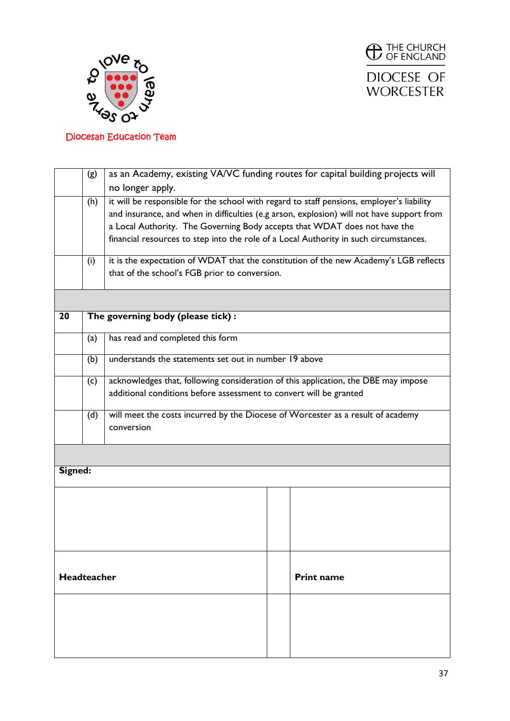



|                 | (g)                                     | as an Academy, existing VA/VC funding routes for capital building projects will           |  |  |  |  |
|-----------------|-----------------------------------------|-------------------------------------------------------------------------------------------|--|--|--|--|
|                 |                                         | no longer apply.                                                                          |  |  |  |  |
|                 | (h)                                     | it will be responsible for the school with regard to staff pensions, employer's liability |  |  |  |  |
|                 |                                         | and insurance, and when in difficulties (e.g arson, explosion) will not have support from |  |  |  |  |
|                 |                                         | a Local Authority. The Governing Body accepts that WDAT does not have the                 |  |  |  |  |
|                 |                                         | financial resources to step into the role of a Local Authority in such circumstances.     |  |  |  |  |
|                 |                                         | it is the expectation of WDAT that the constitution of the new Academy's LGB reflects     |  |  |  |  |
|                 | (i)                                     | that of the school's FGB prior to conversion.                                             |  |  |  |  |
|                 |                                         |                                                                                           |  |  |  |  |
|                 |                                         |                                                                                           |  |  |  |  |
| $\overline{20}$ |                                         | The governing body (please tick):                                                         |  |  |  |  |
|                 | (a)                                     | has read and completed this form                                                          |  |  |  |  |
|                 | (b)                                     | understands the statements set out in number 19 above                                     |  |  |  |  |
|                 | (c)                                     | acknowledges that, following consideration of this application, the DBE may impose        |  |  |  |  |
|                 |                                         | additional conditions before assessment to convert will be granted                        |  |  |  |  |
|                 |                                         | will meet the costs incurred by the Diocese of Worcester as a result of academy           |  |  |  |  |
|                 | (d)                                     |                                                                                           |  |  |  |  |
|                 |                                         | conversion                                                                                |  |  |  |  |
|                 |                                         |                                                                                           |  |  |  |  |
| Signed:         |                                         |                                                                                           |  |  |  |  |
|                 |                                         |                                                                                           |  |  |  |  |
|                 |                                         |                                                                                           |  |  |  |  |
|                 |                                         |                                                                                           |  |  |  |  |
|                 |                                         |                                                                                           |  |  |  |  |
|                 |                                         |                                                                                           |  |  |  |  |
|                 |                                         |                                                                                           |  |  |  |  |
|                 |                                         |                                                                                           |  |  |  |  |
|                 | <b>Headteacher</b><br><b>Print name</b> |                                                                                           |  |  |  |  |
|                 |                                         |                                                                                           |  |  |  |  |
|                 |                                         |                                                                                           |  |  |  |  |
|                 |                                         |                                                                                           |  |  |  |  |
|                 |                                         |                                                                                           |  |  |  |  |
|                 |                                         |                                                                                           |  |  |  |  |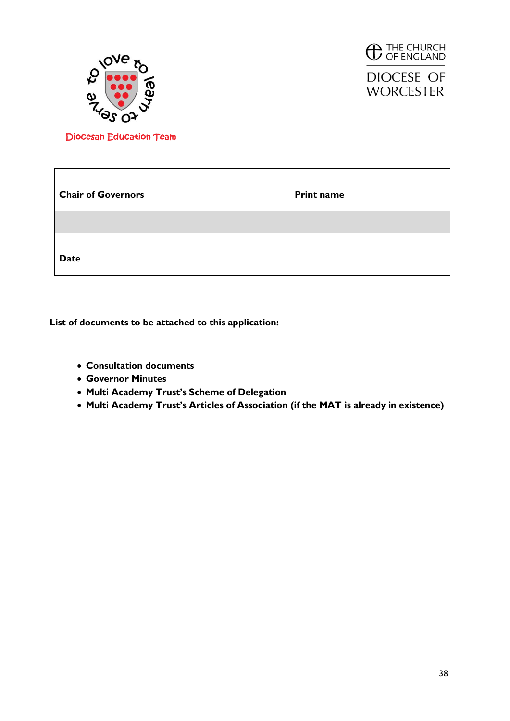



**DIOCESE OF WORCESTER** 

Diocesan Education Team

| <b>Chair of Governors</b> | <b>Print name</b> |
|---------------------------|-------------------|
|                           |                   |
| <b>Date</b>               |                   |

**List of documents to be attached to this application:**

- **Consultation documents**
- **Governor Minutes**
- **Multi Academy Trust's Scheme of Delegation**
- **Multi Academy Trust's Articles of Association (if the MAT is already in existence)**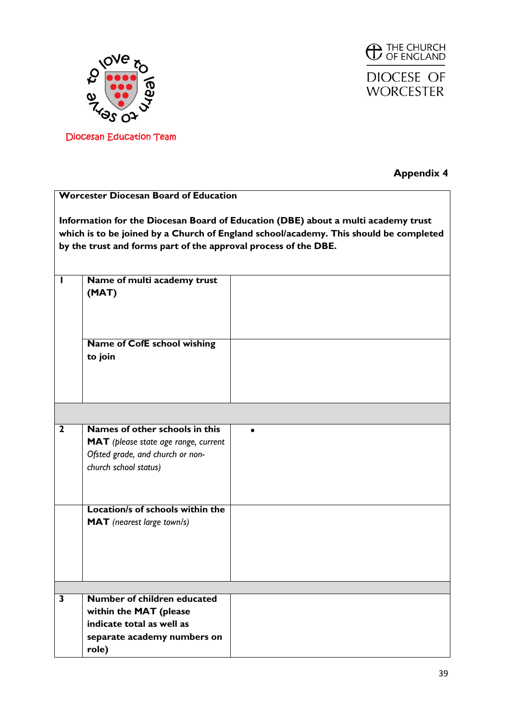





### **Appendix 4**

|                         | <b>Worcester Diocesan Board of Education</b>                                                                                                                                                                                                  |           |  |  |  |  |
|-------------------------|-----------------------------------------------------------------------------------------------------------------------------------------------------------------------------------------------------------------------------------------------|-----------|--|--|--|--|
|                         | Information for the Diocesan Board of Education (DBE) about a multi academy trust<br>which is to be joined by a Church of England school/academy. This should be completed<br>by the trust and forms part of the approval process of the DBE. |           |  |  |  |  |
| H                       | Name of multi academy trust<br>(MAT)                                                                                                                                                                                                          |           |  |  |  |  |
|                         | Name of CofE school wishing<br>to join                                                                                                                                                                                                        |           |  |  |  |  |
|                         |                                                                                                                                                                                                                                               |           |  |  |  |  |
| $\overline{\mathbf{2}}$ | Names of other schools in this<br>MAT (please state age range, current<br>Ofsted grade, and church or non-<br>church school status)                                                                                                           | $\bullet$ |  |  |  |  |
|                         | Location/s of schools within the<br><b>MAT</b> (nearest large town/s)                                                                                                                                                                         |           |  |  |  |  |
|                         |                                                                                                                                                                                                                                               |           |  |  |  |  |
| 3                       | Number of children educated<br>within the MAT (please<br>indicate total as well as<br>separate academy numbers on<br>role)                                                                                                                    |           |  |  |  |  |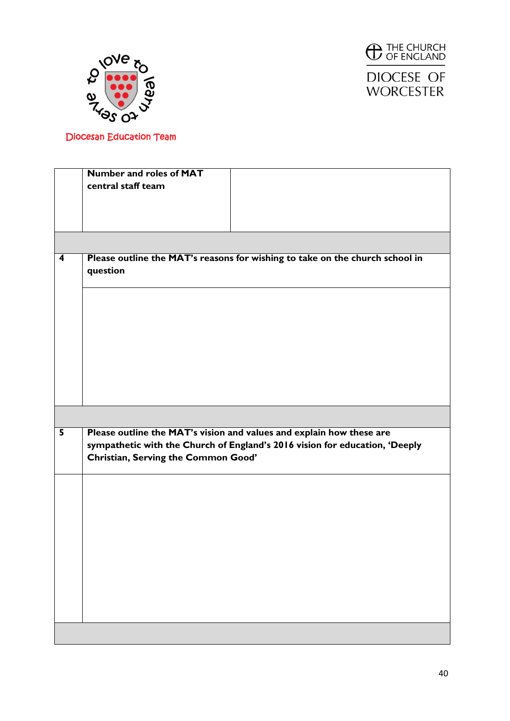



DIOCESE OF **WORCESTER** 

|                         | <b>Number and roles of MAT</b>                                               |
|-------------------------|------------------------------------------------------------------------------|
|                         | central staff team                                                           |
|                         |                                                                              |
|                         |                                                                              |
|                         |                                                                              |
|                         |                                                                              |
|                         |                                                                              |
| $\overline{\mathbf{4}}$ | Please outline the MAT's reasons for wishing to take on the church school in |
|                         | question                                                                     |
|                         |                                                                              |
|                         |                                                                              |
|                         |                                                                              |
|                         |                                                                              |
|                         |                                                                              |
|                         |                                                                              |
|                         |                                                                              |
|                         |                                                                              |
|                         |                                                                              |
|                         |                                                                              |
|                         |                                                                              |
|                         |                                                                              |
|                         |                                                                              |
|                         |                                                                              |
| $\overline{\mathbf{5}}$ | Please outline the MAT's vision and values and explain how these are         |
|                         | sympathetic with the Church of England's 2016 vision for education, 'Deeply  |
|                         |                                                                              |
|                         | Christian, Serving the Common Good'                                          |
|                         |                                                                              |
|                         |                                                                              |
|                         |                                                                              |
|                         |                                                                              |
|                         |                                                                              |
|                         |                                                                              |
|                         |                                                                              |
|                         |                                                                              |
|                         |                                                                              |
|                         |                                                                              |
|                         |                                                                              |
|                         |                                                                              |
|                         |                                                                              |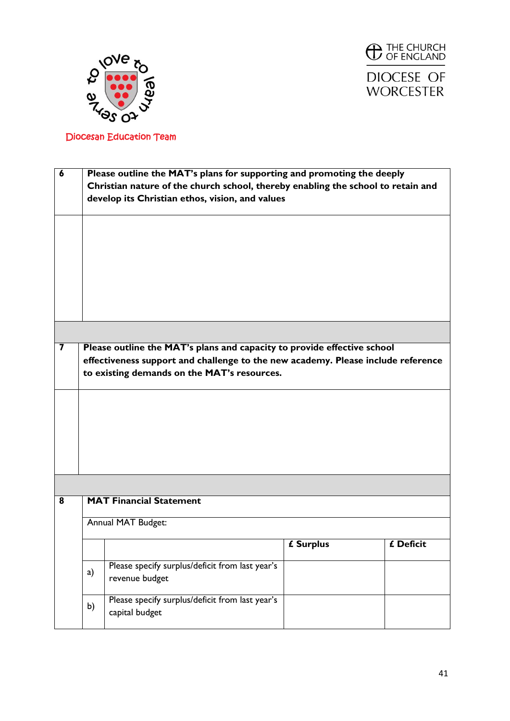



| $\boldsymbol{6}$        | Please outline the MAT's plans for supporting and promoting the deeply<br>Christian nature of the church school, thereby enabling the school to retain and<br>develop its Christian ethos, vision, and values |                                                                   |           |           |  |  |
|-------------------------|---------------------------------------------------------------------------------------------------------------------------------------------------------------------------------------------------------------|-------------------------------------------------------------------|-----------|-----------|--|--|
|                         |                                                                                                                                                                                                               |                                                                   |           |           |  |  |
|                         |                                                                                                                                                                                                               |                                                                   |           |           |  |  |
|                         |                                                                                                                                                                                                               |                                                                   |           |           |  |  |
| $\overline{\mathbf{7}}$ | Please outline the MAT's plans and capacity to provide effective school<br>effectiveness support and challenge to the new academy. Please include reference<br>to existing demands on the MAT's resources.    |                                                                   |           |           |  |  |
|                         |                                                                                                                                                                                                               |                                                                   |           |           |  |  |
|                         |                                                                                                                                                                                                               |                                                                   |           |           |  |  |
|                         |                                                                                                                                                                                                               |                                                                   |           |           |  |  |
| 8                       |                                                                                                                                                                                                               | <b>MAT Financial Statement</b>                                    |           |           |  |  |
|                         | Annual MAT Budget:                                                                                                                                                                                            |                                                                   |           |           |  |  |
|                         |                                                                                                                                                                                                               |                                                                   | £ Surplus | £ Deficit |  |  |
|                         | a)                                                                                                                                                                                                            | Please specify surplus/deficit from last year's<br>revenue budget |           |           |  |  |
|                         | b)                                                                                                                                                                                                            | Please specify surplus/deficit from last year's<br>capital budget |           |           |  |  |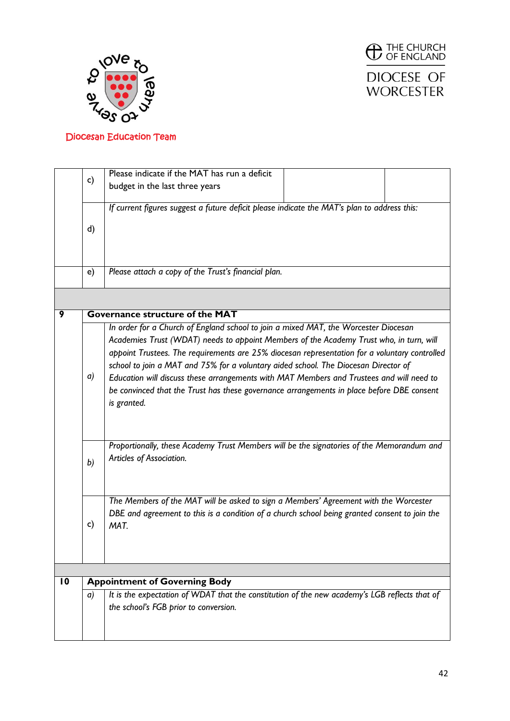



**WORCESTER** 

|                                             |                | Please indicate if the MAT has run a deficit                                                  |  |  |  |  |  |
|---------------------------------------------|----------------|-----------------------------------------------------------------------------------------------|--|--|--|--|--|
|                                             | c)             | budget in the last three years                                                                |  |  |  |  |  |
|                                             |                |                                                                                               |  |  |  |  |  |
|                                             |                |                                                                                               |  |  |  |  |  |
|                                             |                | If current figures suggest a future deficit please indicate the MAT's plan to address this:   |  |  |  |  |  |
|                                             |                |                                                                                               |  |  |  |  |  |
|                                             | d)             |                                                                                               |  |  |  |  |  |
|                                             |                |                                                                                               |  |  |  |  |  |
|                                             |                |                                                                                               |  |  |  |  |  |
|                                             |                |                                                                                               |  |  |  |  |  |
|                                             |                | Please attach a copy of the Trust's financial plan.<br>e)                                     |  |  |  |  |  |
|                                             |                |                                                                                               |  |  |  |  |  |
|                                             |                |                                                                                               |  |  |  |  |  |
| <b>Governance structure of the MAT</b><br>9 |                |                                                                                               |  |  |  |  |  |
|                                             |                | In order for a Church of England school to join a mixed MAT, the Worcester Diocesan           |  |  |  |  |  |
|                                             |                |                                                                                               |  |  |  |  |  |
|                                             |                | Academies Trust (WDAT) needs to appoint Members of the Academy Trust who, in turn, will       |  |  |  |  |  |
|                                             |                | appoint Trustees. The requirements are 25% diocesan representation for a voluntary controlled |  |  |  |  |  |
|                                             |                | school to join a MAT and 75% for a voluntary aided school. The Diocesan Director of           |  |  |  |  |  |
|                                             | a)             | Education will discuss these arrangements with MAT Members and Trustees and will need to      |  |  |  |  |  |
|                                             |                | be convinced that the Trust has these governance arrangements in place before DBE consent     |  |  |  |  |  |
|                                             |                |                                                                                               |  |  |  |  |  |
|                                             |                | is granted.                                                                                   |  |  |  |  |  |
|                                             |                |                                                                                               |  |  |  |  |  |
|                                             |                |                                                                                               |  |  |  |  |  |
|                                             |                | Proportionally, these Academy Trust Members will be the signatories of the Memorandum and     |  |  |  |  |  |
|                                             |                |                                                                                               |  |  |  |  |  |
|                                             | b)             | Articles of Association.                                                                      |  |  |  |  |  |
|                                             |                |                                                                                               |  |  |  |  |  |
|                                             |                |                                                                                               |  |  |  |  |  |
|                                             |                | The Members of the MAT will be asked to sign a Members' Agreement with the Worcester          |  |  |  |  |  |
|                                             |                |                                                                                               |  |  |  |  |  |
|                                             |                | DBE and agreement to this is a condition of a church school being granted consent to join the |  |  |  |  |  |
|                                             | c)             | MAT.                                                                                          |  |  |  |  |  |
|                                             |                |                                                                                               |  |  |  |  |  |
|                                             |                |                                                                                               |  |  |  |  |  |
|                                             |                |                                                                                               |  |  |  |  |  |
|                                             |                |                                                                                               |  |  |  |  |  |
| $\overline{10}$                             |                | <b>Appointment of Governing Body</b>                                                          |  |  |  |  |  |
|                                             | $\mathfrak{a}$ | It is the expectation of WDAT that the constitution of the new academy's LGB reflects that of |  |  |  |  |  |
|                                             |                | the school's FGB prior to conversion.                                                         |  |  |  |  |  |
|                                             |                |                                                                                               |  |  |  |  |  |
|                                             |                |                                                                                               |  |  |  |  |  |
|                                             |                |                                                                                               |  |  |  |  |  |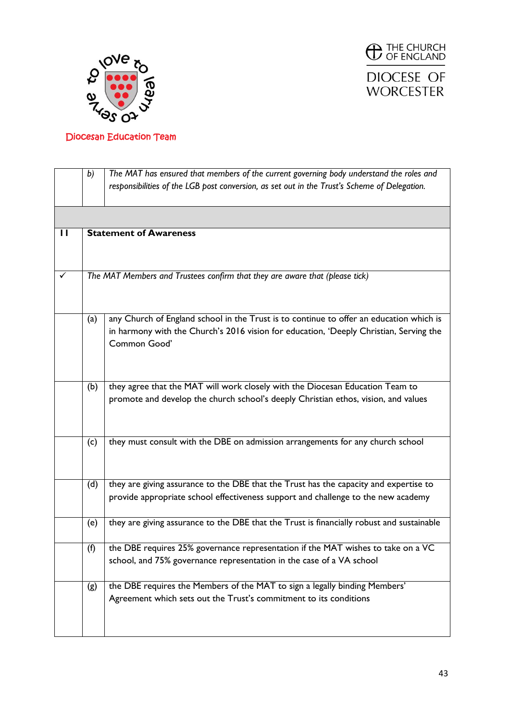



|                                                                             | The MAT has ensured that members of the current governing body understand the roles and<br>b) |                                                                                                                                                                            |  |  |  |  |  |
|-----------------------------------------------------------------------------|-----------------------------------------------------------------------------------------------|----------------------------------------------------------------------------------------------------------------------------------------------------------------------------|--|--|--|--|--|
|                                                                             | responsibilities of the LGB post conversion, as set out in the Trust's Scheme of Delegation.  |                                                                                                                                                                            |  |  |  |  |  |
|                                                                             |                                                                                               |                                                                                                                                                                            |  |  |  |  |  |
| П                                                                           | <b>Statement of Awareness</b>                                                                 |                                                                                                                                                                            |  |  |  |  |  |
|                                                                             |                                                                                               |                                                                                                                                                                            |  |  |  |  |  |
|                                                                             |                                                                                               |                                                                                                                                                                            |  |  |  |  |  |
| The MAT Members and Trustees confirm that they are aware that (please tick) |                                                                                               |                                                                                                                                                                            |  |  |  |  |  |
|                                                                             |                                                                                               |                                                                                                                                                                            |  |  |  |  |  |
|                                                                             | (a)                                                                                           | any Church of England school in the Trust is to continue to offer an education which is                                                                                    |  |  |  |  |  |
|                                                                             |                                                                                               | in harmony with the Church's 2016 vision for education, 'Deeply Christian, Serving the                                                                                     |  |  |  |  |  |
|                                                                             |                                                                                               | Common Good'                                                                                                                                                               |  |  |  |  |  |
|                                                                             |                                                                                               |                                                                                                                                                                            |  |  |  |  |  |
|                                                                             | (b)                                                                                           | they agree that the MAT will work closely with the Diocesan Education Team to                                                                                              |  |  |  |  |  |
|                                                                             |                                                                                               | promote and develop the church school's deeply Christian ethos, vision, and values                                                                                         |  |  |  |  |  |
|                                                                             |                                                                                               |                                                                                                                                                                            |  |  |  |  |  |
|                                                                             |                                                                                               |                                                                                                                                                                            |  |  |  |  |  |
|                                                                             | (c)                                                                                           | they must consult with the DBE on admission arrangements for any church school                                                                                             |  |  |  |  |  |
|                                                                             |                                                                                               |                                                                                                                                                                            |  |  |  |  |  |
|                                                                             |                                                                                               |                                                                                                                                                                            |  |  |  |  |  |
|                                                                             | (d)                                                                                           | they are giving assurance to the DBE that the Trust has the capacity and expertise to<br>provide appropriate school effectiveness support and challenge to the new academy |  |  |  |  |  |
|                                                                             |                                                                                               |                                                                                                                                                                            |  |  |  |  |  |
|                                                                             | (e)                                                                                           | they are giving assurance to the DBE that the Trust is financially robust and sustainable                                                                                  |  |  |  |  |  |
|                                                                             |                                                                                               |                                                                                                                                                                            |  |  |  |  |  |
|                                                                             | (f)                                                                                           | the DBE requires 25% governance representation if the MAT wishes to take on a VC                                                                                           |  |  |  |  |  |
|                                                                             |                                                                                               | school, and 75% governance representation in the case of a VA school                                                                                                       |  |  |  |  |  |
|                                                                             | (g)                                                                                           | the DBE requires the Members of the MAT to sign a legally binding Members'                                                                                                 |  |  |  |  |  |
|                                                                             |                                                                                               | Agreement which sets out the Trust's commitment to its conditions                                                                                                          |  |  |  |  |  |
|                                                                             |                                                                                               |                                                                                                                                                                            |  |  |  |  |  |
|                                                                             |                                                                                               |                                                                                                                                                                            |  |  |  |  |  |